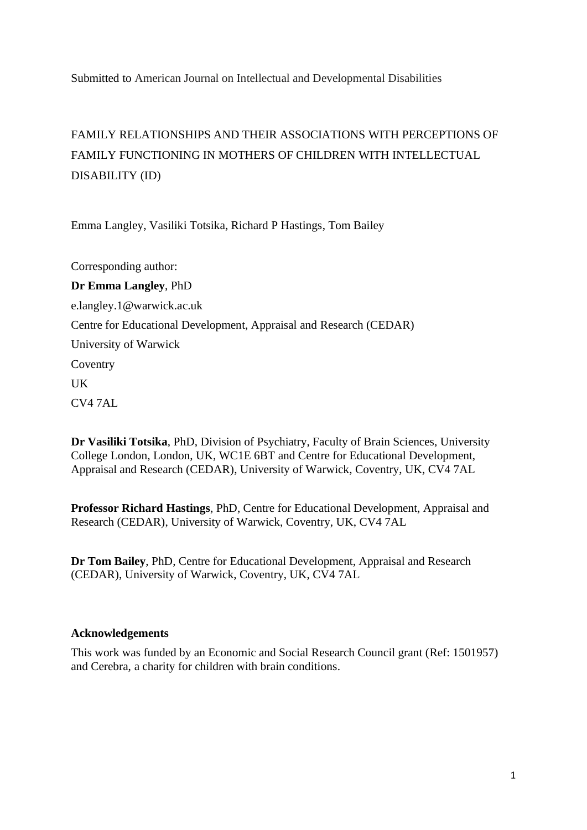Submitted to American Journal on Intellectual and Developmental Disabilities

# FAMILY RELATIONSHIPS AND THEIR ASSOCIATIONS WITH PERCEPTIONS OF FAMILY FUNCTIONING IN MOTHERS OF CHILDREN WITH INTELLECTUAL DISABILITY (ID)

Emma Langley, Vasiliki Totsika, Richard P Hastings, Tom Bailey

Corresponding author: **Dr Emma Langley**, PhD e.langley.1@warwick.ac.uk Centre for Educational Development, Appraisal and Research (CEDAR) University of Warwick **Coventry** UK CV4 7AL

**Dr Vasiliki Totsika**, PhD, Division of Psychiatry, Faculty of Brain Sciences, University College London, London, UK, WC1E 6BT and Centre for Educational Development, Appraisal and Research (CEDAR), University of Warwick, Coventry, UK, CV4 7AL

**Professor Richard Hastings**, PhD, Centre for Educational Development, Appraisal and Research (CEDAR), University of Warwick, Coventry, UK, CV4 7AL

**Dr Tom Bailey**, PhD, Centre for Educational Development, Appraisal and Research (CEDAR), University of Warwick, Coventry, UK, CV4 7AL

### **Acknowledgements**

This work was funded by an Economic and Social Research Council grant (Ref: 1501957) and Cerebra, a charity for children with brain conditions.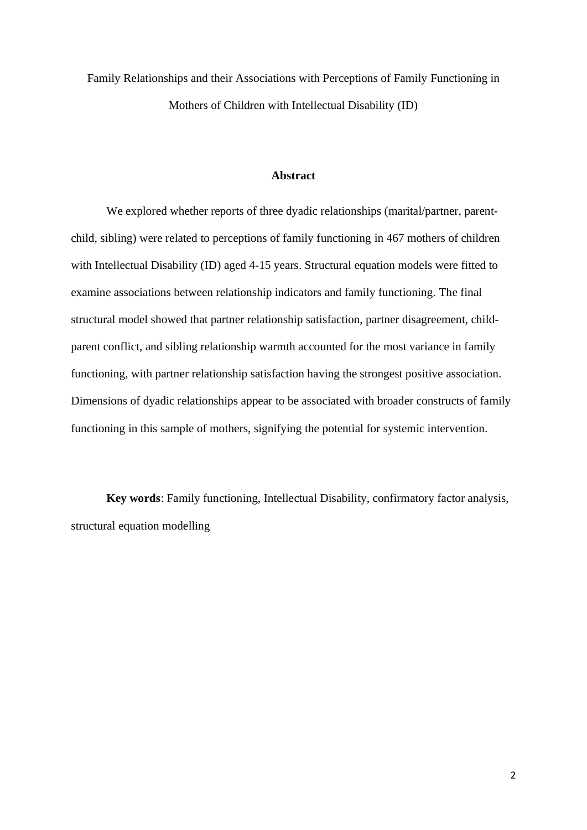Family Relationships and their Associations with Perceptions of Family Functioning in Mothers of Children with Intellectual Disability (ID)

### **Abstract**

We explored whether reports of three dyadic relationships (marital/partner, parentchild, sibling) were related to perceptions of family functioning in 467 mothers of children with Intellectual Disability (ID) aged 4-15 years. Structural equation models were fitted to examine associations between relationship indicators and family functioning. The final structural model showed that partner relationship satisfaction, partner disagreement, childparent conflict, and sibling relationship warmth accounted for the most variance in family functioning, with partner relationship satisfaction having the strongest positive association. Dimensions of dyadic relationships appear to be associated with broader constructs of family functioning in this sample of mothers, signifying the potential for systemic intervention.

**Key words**: Family functioning, Intellectual Disability, confirmatory factor analysis, structural equation modelling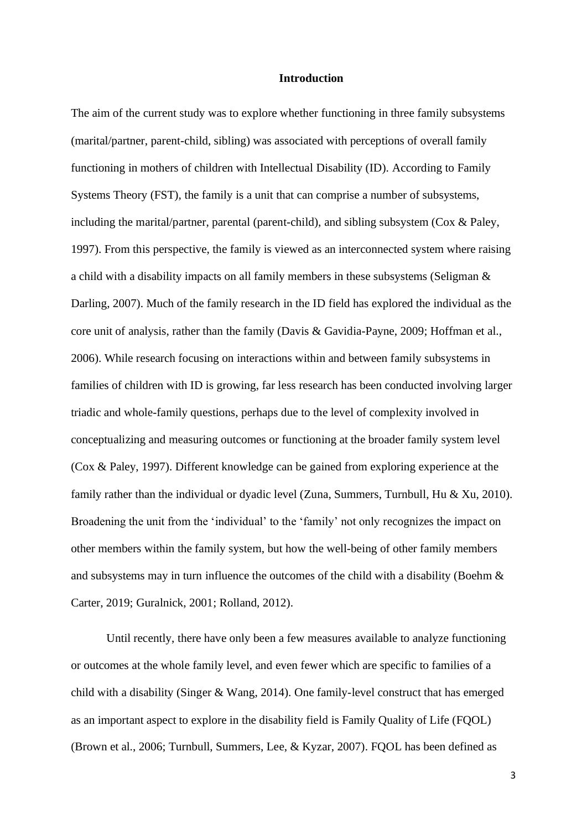### **Introduction**

The aim of the current study was to explore whether functioning in three family subsystems (marital/partner, parent-child, sibling) was associated with perceptions of overall family functioning in mothers of children with Intellectual Disability (ID). According to Family Systems Theory (FST), the family is a unit that can comprise a number of subsystems, including the marital/partner, parental (parent-child), and sibling subsystem (Cox & Paley, 1997). From this perspective, the family is viewed as an interconnected system where raising a child with a disability impacts on all family members in these subsystems (Seligman & Darling, 2007). Much of the family research in the ID field has explored the individual as the core unit of analysis, rather than the family (Davis & Gavidia-Payne, 2009; Hoffman et al., 2006). While research focusing on interactions within and between family subsystems in families of children with ID is growing, far less research has been conducted involving larger triadic and whole-family questions, perhaps due to the level of complexity involved in conceptualizing and measuring outcomes or functioning at the broader family system level (Cox & Paley, 1997). Different knowledge can be gained from exploring experience at the family rather than the individual or dyadic level (Zuna, Summers, Turnbull, Hu & Xu, 2010). Broadening the unit from the 'individual' to the 'family' not only recognizes the impact on other members within the family system, but how the well-being of other family members and subsystems may in turn influence the outcomes of the child with a disability (Boehm & Carter, 2019; Guralnick, 2001; Rolland, 2012).

Until recently, there have only been a few measures available to analyze functioning or outcomes at the whole family level, and even fewer which are specific to families of a child with a disability (Singer & Wang, 2014). One family-level construct that has emerged as an important aspect to explore in the disability field is Family Quality of Life (FQOL) (Brown et al., 2006; Turnbull, Summers, Lee, & Kyzar, 2007). FQOL has been defined as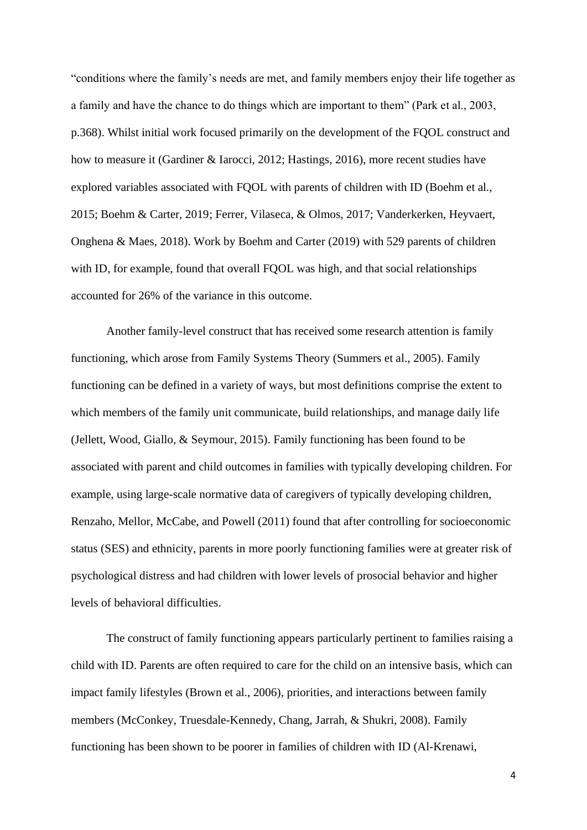"conditions where the family's needs are met, and family members enjoy their life together as a family and have the chance to do things which are important to them" (Park et al., 2003, p.368). Whilst initial work focused primarily on the development of the FQOL construct and how to measure it (Gardiner & Iarocci, 2012; Hastings, 2016), more recent studies have explored variables associated with FQOL with parents of children with ID (Boehm et al., 2015; Boehm & Carter, 2019; Ferrer, Vilaseca, & Olmos, 2017; Vanderkerken, Heyvaert, Onghena & Maes, 2018). Work by Boehm and Carter (2019) with 529 parents of children with ID, for example, found that overall FQOL was high, and that social relationships accounted for 26% of the variance in this outcome.

Another family-level construct that has received some research attention is family functioning, which arose from Family Systems Theory (Summers et al., 2005). Family functioning can be defined in a variety of ways, but most definitions comprise the extent to which members of the family unit communicate, build relationships, and manage daily life (Jellett, Wood, Giallo, & Seymour, 2015). Family functioning has been found to be associated with parent and child outcomes in families with typically developing children. For example, using large-scale normative data of caregivers of typically developing children, Renzaho, Mellor, McCabe, and Powell (2011) found that after controlling for socioeconomic status (SES) and ethnicity, parents in more poorly functioning families were at greater risk of psychological distress and had children with lower levels of prosocial behavior and higher levels of behavioral difficulties.

The construct of family functioning appears particularly pertinent to families raising a child with ID. Parents are often required to care for the child on an intensive basis, which can impact family lifestyles (Brown et al., 2006), priorities, and interactions between family members (McConkey, Truesdale-Kennedy, Chang, Jarrah, & Shukri, 2008). Family functioning has been shown to be poorer in families of children with ID (Al-Krenawi,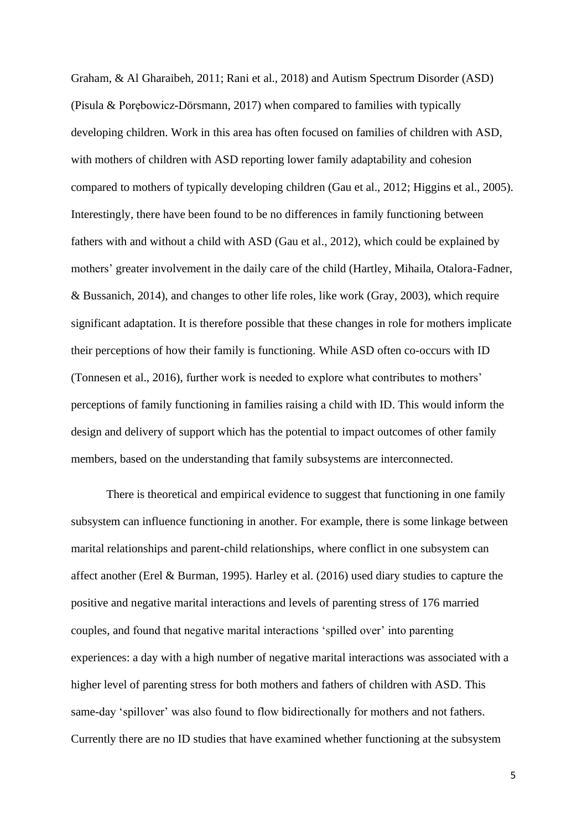Graham, & Al Gharaibeh, 2011; Rani et al., 2018) and Autism Spectrum Disorder (ASD) (Pisula & Porębowicz-Dörsmann, 2017) when compared to families with typically developing children. Work in this area has often focused on families of children with ASD, with mothers of children with ASD reporting lower family adaptability and cohesion compared to mothers of typically developing children (Gau et al., 2012; Higgins et al., 2005). Interestingly, there have been found to be no differences in family functioning between fathers with and without a child with ASD (Gau et al., 2012), which could be explained by mothers' greater involvement in the daily care of the child (Hartley, Mihaila, Otalora-Fadner, & Bussanich, 2014), and changes to other life roles, like work (Gray, 2003), which require significant adaptation. It is therefore possible that these changes in role for mothers implicate their perceptions of how their family is functioning. While ASD often co-occurs with ID (Tonnesen et al., 2016), further work is needed to explore what contributes to mothers' perceptions of family functioning in families raising a child with ID. This would inform the design and delivery of support which has the potential to impact outcomes of other family members, based on the understanding that family subsystems are interconnected.

There is theoretical and empirical evidence to suggest that functioning in one family subsystem can influence functioning in another. For example, there is some linkage between marital relationships and parent-child relationships, where conflict in one subsystem can affect another (Erel & Burman, 1995). Harley et al. (2016) used diary studies to capture the positive and negative marital interactions and levels of parenting stress of 176 married couples, and found that negative marital interactions 'spilled over' into parenting experiences: a day with a high number of negative marital interactions was associated with a higher level of parenting stress for both mothers and fathers of children with ASD. This same-day 'spillover' was also found to flow bidirectionally for mothers and not fathers. Currently there are no ID studies that have examined whether functioning at the subsystem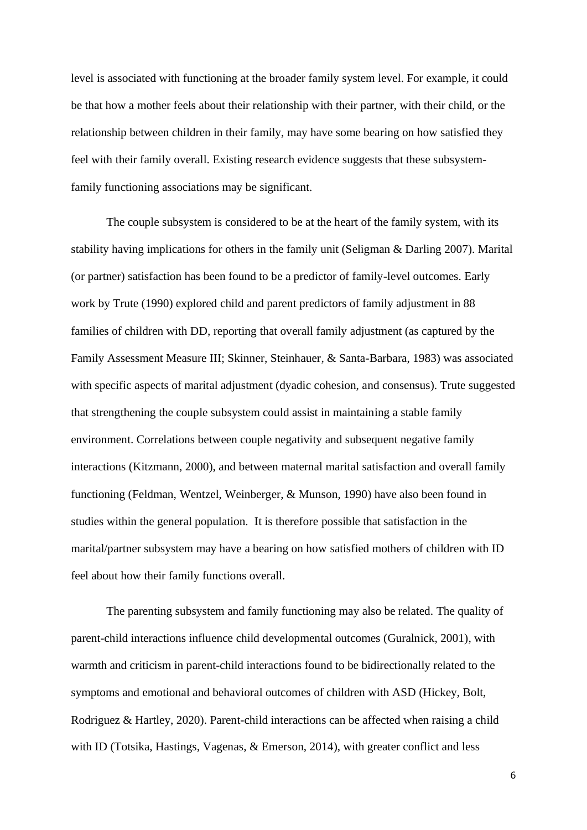level is associated with functioning at the broader family system level. For example, it could be that how a mother feels about their relationship with their partner, with their child, or the relationship between children in their family, may have some bearing on how satisfied they feel with their family overall. Existing research evidence suggests that these subsystemfamily functioning associations may be significant.

The couple subsystem is considered to be at the heart of the family system, with its stability having implications for others in the family unit (Seligman & Darling 2007). Marital (or partner) satisfaction has been found to be a predictor of family-level outcomes. Early work by Trute (1990) explored child and parent predictors of family adjustment in 88 families of children with DD, reporting that overall family adjustment (as captured by the Family Assessment Measure III; Skinner, Steinhauer, & Santa-Barbara, 1983) was associated with specific aspects of marital adjustment (dyadic cohesion, and consensus). Trute suggested that strengthening the couple subsystem could assist in maintaining a stable family environment. Correlations between couple negativity and subsequent negative family interactions (Kitzmann, 2000), and between maternal marital satisfaction and overall family functioning (Feldman, Wentzel, Weinberger, & Munson, 1990) have also been found in studies within the general population. It is therefore possible that satisfaction in the marital/partner subsystem may have a bearing on how satisfied mothers of children with ID feel about how their family functions overall.

The parenting subsystem and family functioning may also be related. The quality of parent-child interactions influence child developmental outcomes (Guralnick, 2001), with warmth and criticism in parent-child interactions found to be bidirectionally related to the symptoms and emotional and behavioral outcomes of children with ASD (Hickey, Bolt, Rodriguez & Hartley, 2020). Parent-child interactions can be affected when raising a child with ID (Totsika, Hastings, Vagenas, & Emerson, 2014), with greater conflict and less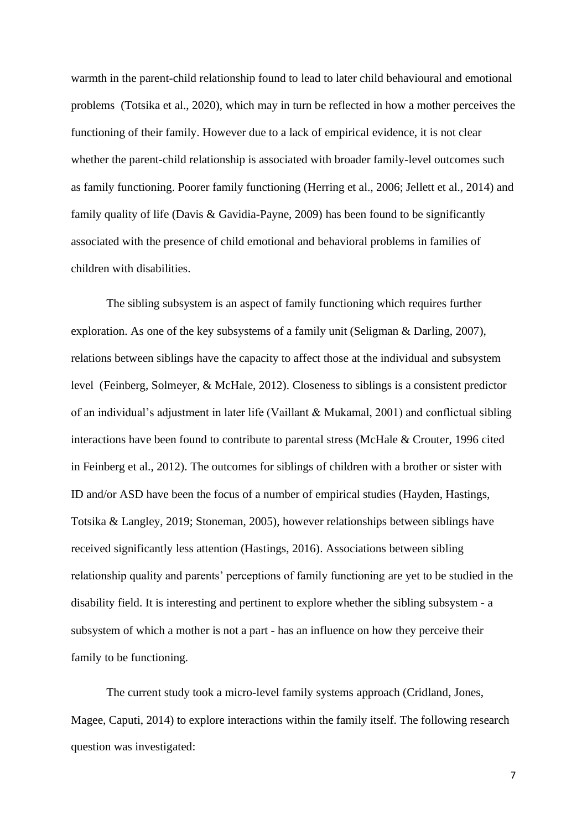warmth in the parent-child relationship found to lead to later child behavioural and emotional problems (Totsika et al., 2020), which may in turn be reflected in how a mother perceives the functioning of their family. However due to a lack of empirical evidence, it is not clear whether the parent-child relationship is associated with broader family-level outcomes such as family functioning. Poorer family functioning (Herring et al., 2006; Jellett et al., 2014) and family quality of life (Davis & Gavidia-Payne, 2009) has been found to be significantly associated with the presence of child emotional and behavioral problems in families of children with disabilities.

The sibling subsystem is an aspect of family functioning which requires further exploration. As one of the key subsystems of a family unit (Seligman & Darling, 2007), relations between siblings have the capacity to affect those at the individual and subsystem level (Feinberg, Solmeyer, & McHale, 2012). Closeness to siblings is a consistent predictor of an individual's adjustment in later life (Vaillant & Mukamal, 2001) and conflictual sibling interactions have been found to contribute to parental stress (McHale & Crouter, 1996 cited in Feinberg et al., 2012). The outcomes for siblings of children with a brother or sister with ID and/or ASD have been the focus of a number of empirical studies (Hayden, Hastings, Totsika & Langley, 2019; Stoneman, 2005), however relationships between siblings have received significantly less attention (Hastings, 2016). Associations between sibling relationship quality and parents' perceptions of family functioning are yet to be studied in the disability field. It is interesting and pertinent to explore whether the sibling subsystem - a subsystem of which a mother is not a part - has an influence on how they perceive their family to be functioning.

The current study took a micro-level family systems approach (Cridland, Jones, Magee, Caputi, 2014) to explore interactions within the family itself. The following research question was investigated: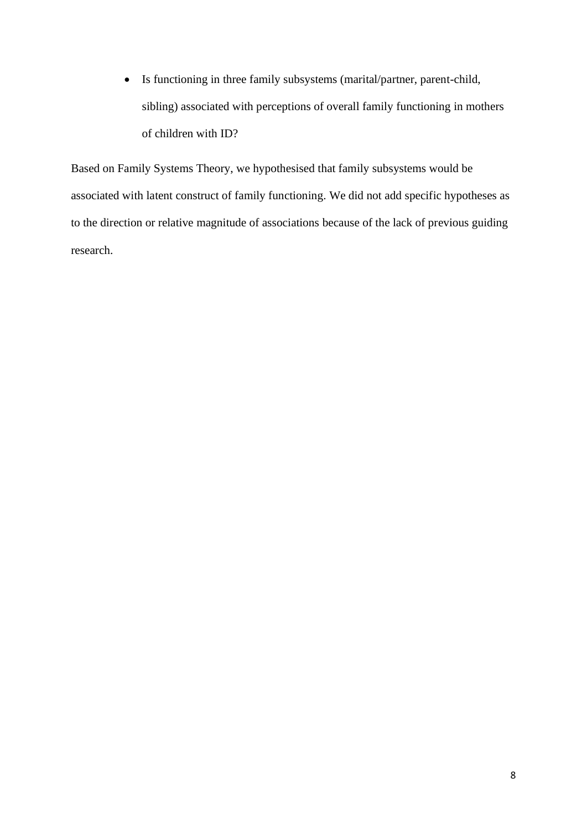• Is functioning in three family subsystems (marital/partner, parent-child, sibling) associated with perceptions of overall family functioning in mothers of children with ID?

Based on Family Systems Theory, we hypothesised that family subsystems would be associated with latent construct of family functioning. We did not add specific hypotheses as to the direction or relative magnitude of associations because of the lack of previous guiding research.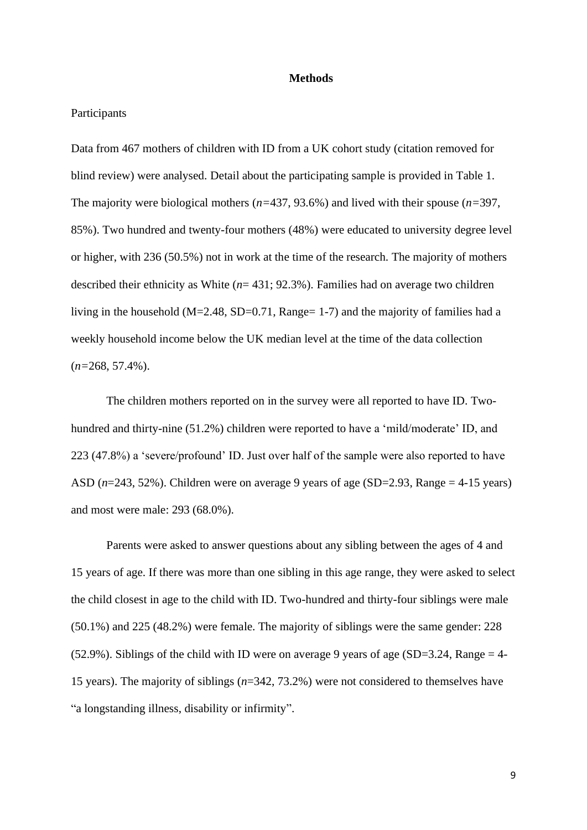#### **Methods**

### Participants

Data from 467 mothers of children with ID from a UK cohort study (citation removed for blind review) were analysed. Detail about the participating sample is provided in Table 1. The majority were biological mothers (*n=*437, 93.6%) and lived with their spouse (*n=*397, 85%). Two hundred and twenty-four mothers (48%) were educated to university degree level or higher, with 236 (50.5%) not in work at the time of the research. The majority of mothers described their ethnicity as White (*n*= 431; 92.3%). Families had on average two children living in the household ( $M=2.48$ ,  $SD=0.71$ ,  $Range=1-7$ ) and the majority of families had a weekly household income below the UK median level at the time of the data collection (*n=*268, 57.4%).

The children mothers reported on in the survey were all reported to have ID. Twohundred and thirty-nine (51.2%) children were reported to have a 'mild/moderate' ID, and 223 (47.8%) a 'severe/profound' ID. Just over half of the sample were also reported to have ASD  $(n=243, 52%)$ . Children were on average 9 years of age (SD=2.93, Range = 4-15 years) and most were male: 293 (68.0%).

Parents were asked to answer questions about any sibling between the ages of 4 and 15 years of age. If there was more than one sibling in this age range, they were asked to select the child closest in age to the child with ID. Two-hundred and thirty-four siblings were male (50.1%) and 225 (48.2%) were female. The majority of siblings were the same gender: 228 (52.9%). Siblings of the child with ID were on average 9 years of age (SD=3.24, Range = 4-15 years). The majority of siblings (*n*=342, 73.2%) were not considered to themselves have "a longstanding illness, disability or infirmity".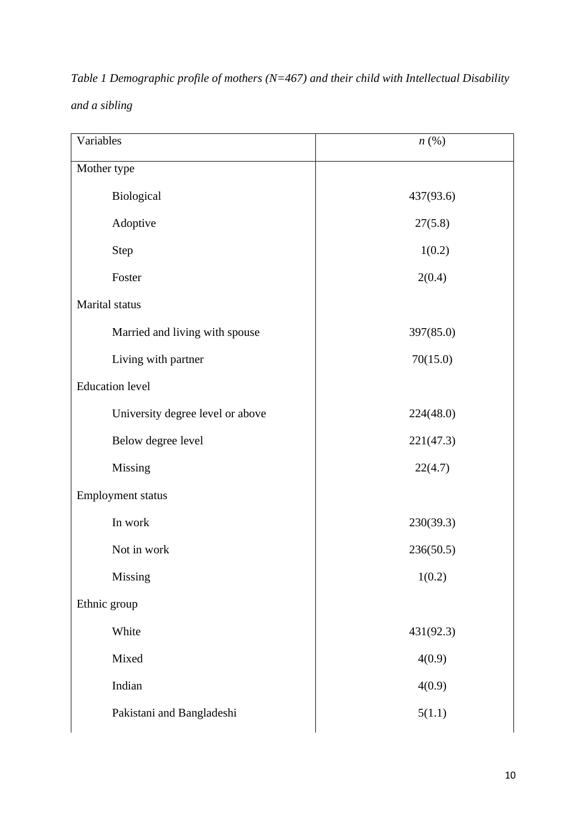| $n\left(\%\right)$ |
|--------------------|
|                    |
| 437(93.6)          |
| 27(5.8)            |
| 1(0.2)             |
| 2(0.4)             |
|                    |
| 397(85.0)          |
| 70(15.0)           |
|                    |
| 224(48.0)          |
| 221(47.3)          |
| 22(4.7)            |
|                    |
| 230(39.3)          |
| 236(50.5)          |
| 1(0.2)             |
|                    |
| 431(92.3)          |
| 4(0.9)             |
| 4(0.9)             |
| 5(1.1)             |
|                    |

*Table 1 Demographic profile of mothers (N=467) and their child with Intellectual Disability and a sibling*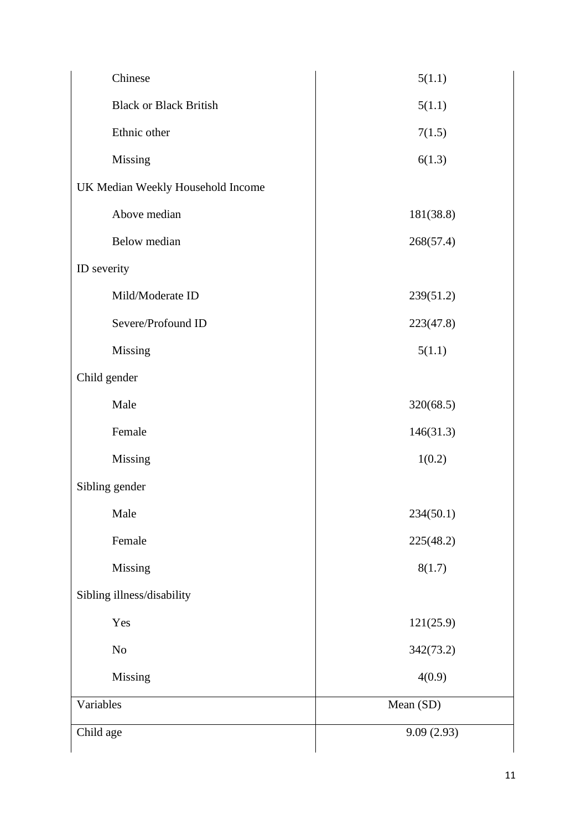| Chinese                           | 5(1.1)     |
|-----------------------------------|------------|
| <b>Black or Black British</b>     | 5(1.1)     |
| Ethnic other                      | 7(1.5)     |
| Missing                           | 6(1.3)     |
| UK Median Weekly Household Income |            |
| Above median                      | 181(38.8)  |
| Below median                      | 268(57.4)  |
| ID severity                       |            |
| Mild/Moderate ID                  | 239(51.2)  |
| Severe/Profound ID                | 223(47.8)  |
| Missing                           | 5(1.1)     |
| Child gender                      |            |
| Male                              | 320(68.5)  |
| Female                            | 146(31.3)  |
| Missing                           | 1(0.2)     |
| Sibling gender                    |            |
| Male                              | 234(50.1)  |
| Female                            | 225(48.2)  |
| Missing                           | 8(1.7)     |
| Sibling illness/disability        |            |
| Yes                               | 121(25.9)  |
| $\rm No$                          | 342(73.2)  |
| Missing                           | 4(0.9)     |
| Variables                         | Mean (SD)  |
| Child age                         | 9.09(2.93) |
|                                   |            |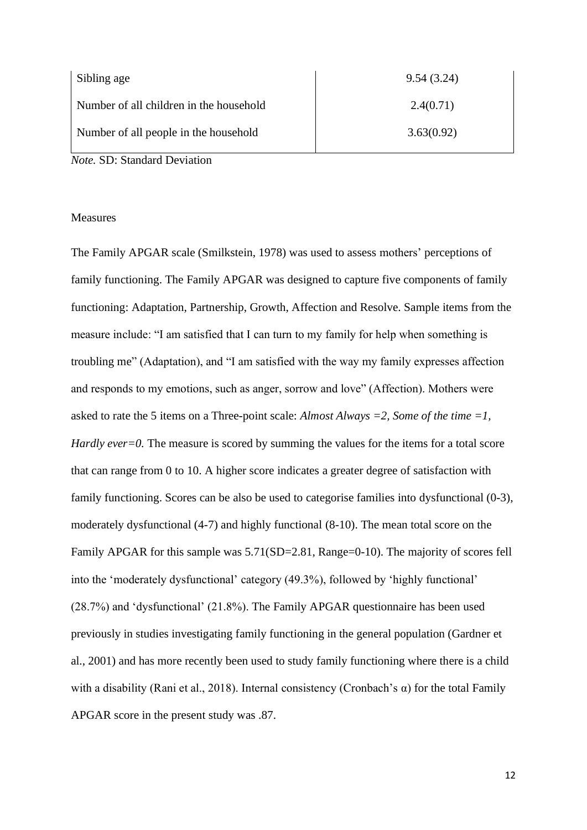| Sibling age                             | 9.54(3.24) |
|-----------------------------------------|------------|
| Number of all children in the household | 2.4(0.71)  |
| Number of all people in the household   | 3.63(0.92) |

*Note.* SD: Standard Deviation

#### Measures

The Family APGAR scale (Smilkstein, 1978) was used to assess mothers' perceptions of family functioning. The Family APGAR was designed to capture five components of family functioning: Adaptation, Partnership, Growth, Affection and Resolve. Sample items from the measure include: "I am satisfied that I can turn to my family for help when something is troubling me" (Adaptation), and "I am satisfied with the way my family expresses affection and responds to my emotions, such as anger, sorrow and love" (Affection). Mothers were asked to rate the 5 items on a Three-point scale: *Almost Always =2, Some of the time =1, Hardly ever=0.* The measure is scored by summing the values for the items for a total score that can range from 0 to 10. A higher score indicates a greater degree of satisfaction with family functioning. Scores can be also be used to categorise families into dysfunctional (0-3), moderately dysfunctional (4-7) and highly functional (8-10). The mean total score on the Family APGAR for this sample was  $5.71(SD=2.81, Range=0-10)$ . The majority of scores fell into the 'moderately dysfunctional' category (49.3%), followed by 'highly functional' (28.7%) and 'dysfunctional' (21.8%). The Family APGAR questionnaire has been used previously in studies investigating family functioning in the general population (Gardner et al., 2001) and has more recently been used to study family functioning where there is a child with a disability (Rani et al., 2018). Internal consistency (Cronbach's  $\alpha$ ) for the total Family APGAR score in the present study was .87.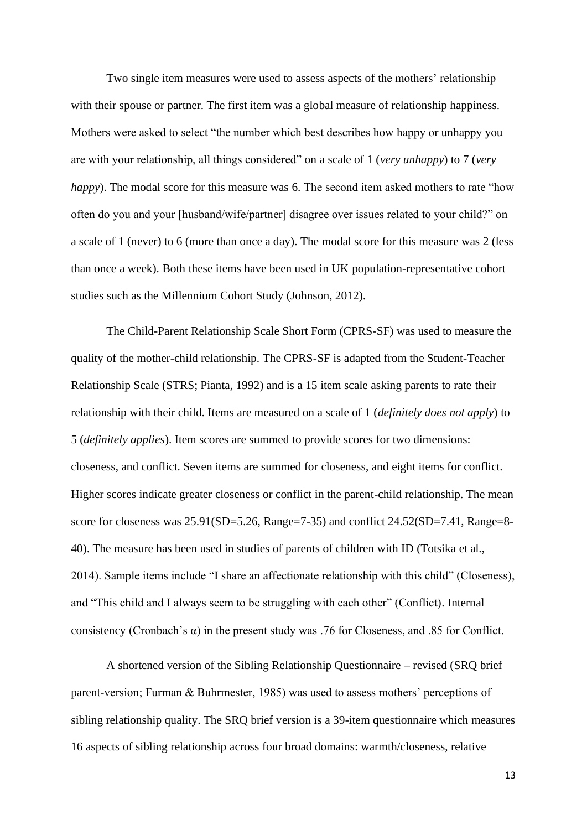Two single item measures were used to assess aspects of the mothers' relationship with their spouse or partner. The first item was a global measure of relationship happiness. Mothers were asked to select "the number which best describes how happy or unhappy you are with your relationship, all things considered" on a scale of 1 (*very unhappy*) to 7 (*very happy*). The modal score for this measure was 6. The second item asked mothers to rate "how often do you and your [husband/wife/partner] disagree over issues related to your child?" on a scale of 1 (never) to 6 (more than once a day). The modal score for this measure was 2 (less than once a week). Both these items have been used in UK population-representative cohort studies such as the Millennium Cohort Study (Johnson, 2012).

The Child-Parent Relationship Scale Short Form (CPRS-SF) was used to measure the quality of the mother-child relationship. The CPRS-SF is adapted from the Student-Teacher Relationship Scale (STRS; Pianta, 1992) and is a 15 item scale asking parents to rate their relationship with their child. Items are measured on a scale of 1 (*definitely does not apply*) to 5 (*definitely applies*). Item scores are summed to provide scores for two dimensions: closeness, and conflict. Seven items are summed for closeness, and eight items for conflict. Higher scores indicate greater closeness or conflict in the parent-child relationship. The mean score for closeness was 25.91(SD=5.26, Range=7-35) and conflict 24.52(SD=7.41, Range=8- 40). The measure has been used in studies of parents of children with ID (Totsika et al., 2014). Sample items include "I share an affectionate relationship with this child" (Closeness), and "This child and I always seem to be struggling with each other" (Conflict). Internal consistency (Cronbach's α) in the present study was .76 for Closeness, and .85 for Conflict.

A shortened version of the Sibling Relationship Questionnaire – revised (SRQ brief parent-version; Furman & Buhrmester, 1985) was used to assess mothers' perceptions of sibling relationship quality. The SRQ brief version is a 39-item questionnaire which measures 16 aspects of sibling relationship across four broad domains: warmth/closeness, relative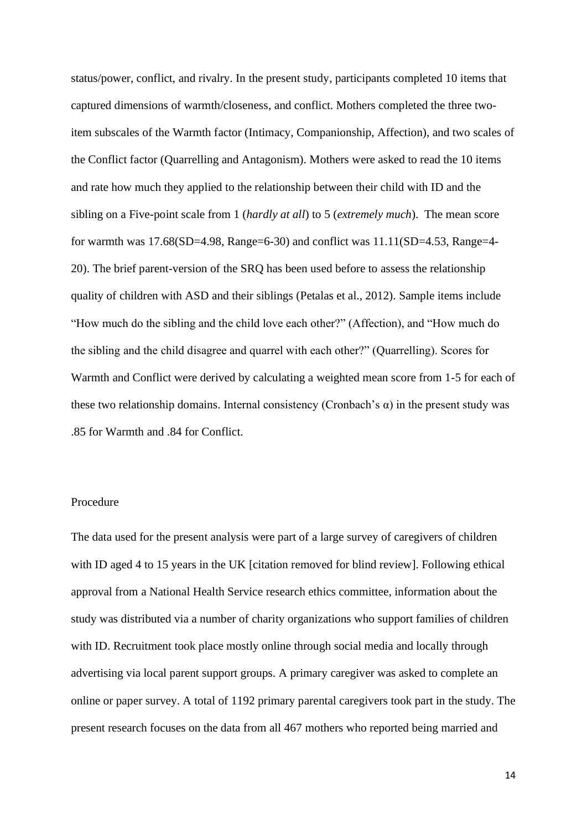status/power, conflict, and rivalry. In the present study, participants completed 10 items that captured dimensions of warmth/closeness, and conflict. Mothers completed the three twoitem subscales of the Warmth factor (Intimacy, Companionship, Affection), and two scales of the Conflict factor (Quarrelling and Antagonism). Mothers were asked to read the 10 items and rate how much they applied to the relationship between their child with ID and the sibling on a Five-point scale from 1 (*hardly at all*) to 5 (*extremely much*). The mean score for warmth was  $17.68(SD=4.98, Range=6-30)$  and conflict was  $11.11(SD=4.53, Range=4-$ 20). The brief parent-version of the SRQ has been used before to assess the relationship quality of children with ASD and their siblings (Petalas et al., 2012). Sample items include "How much do the sibling and the child love each other?" (Affection), and "How much do the sibling and the child disagree and quarrel with each other?" (Quarrelling). Scores for Warmth and Conflict were derived by calculating a weighted mean score from 1-5 for each of these two relationship domains. Internal consistency (Cronbach's  $\alpha$ ) in the present study was .85 for Warmth and .84 for Conflict.

### Procedure

The data used for the present analysis were part of a large survey of caregivers of children with ID aged 4 to 15 years in the UK [citation removed for blind review]. Following ethical approval from a National Health Service research ethics committee, information about the study was distributed via a number of charity organizations who support families of children with ID. Recruitment took place mostly online through social media and locally through advertising via local parent support groups. A primary caregiver was asked to complete an online or paper survey. A total of 1192 primary parental caregivers took part in the study. The present research focuses on the data from all 467 mothers who reported being married and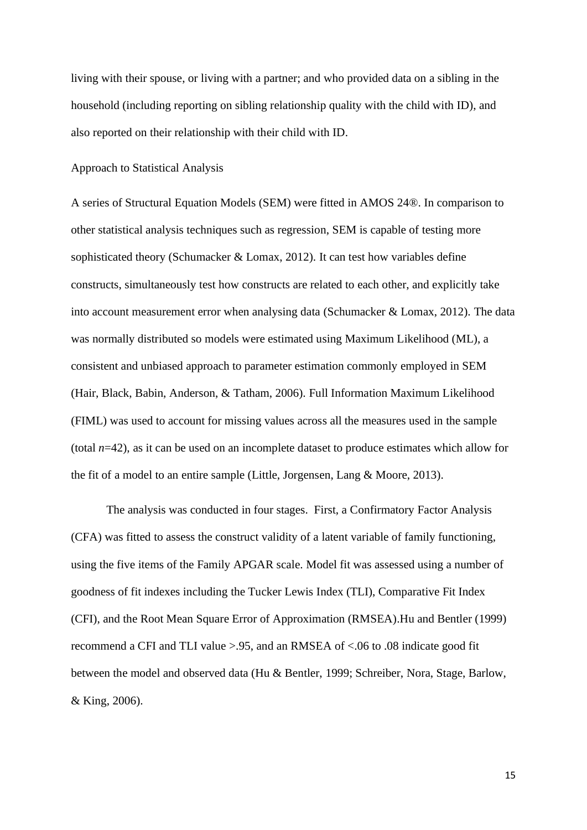living with their spouse, or living with a partner; and who provided data on a sibling in the household (including reporting on sibling relationship quality with the child with ID), and also reported on their relationship with their child with ID.

### Approach to Statistical Analysis

A series of Structural Equation Models (SEM) were fitted in AMOS 24®. In comparison to other statistical analysis techniques such as regression, SEM is capable of testing more sophisticated theory (Schumacker & Lomax, 2012). It can test how variables define constructs, simultaneously test how constructs are related to each other, and explicitly take into account measurement error when analysing data (Schumacker  $\&$  Lomax, 2012). The data was normally distributed so models were estimated using Maximum Likelihood (ML), a consistent and unbiased approach to parameter estimation commonly employed in SEM (Hair, Black, Babin, Anderson, & Tatham, 2006). Full Information Maximum Likelihood (FIML) was used to account for missing values across all the measures used in the sample (total  $n=42$ ), as it can be used on an incomplete dataset to produce estimates which allow for the fit of a model to an entire sample (Little, Jorgensen, Lang & Moore, 2013).

The analysis was conducted in four stages. First, a Confirmatory Factor Analysis (CFA) was fitted to assess the construct validity of a latent variable of family functioning, using the five items of the Family APGAR scale. Model fit was assessed using a number of goodness of fit indexes including the Tucker Lewis Index (TLI), Comparative Fit Index (CFI), and the Root Mean Square Error of Approximation (RMSEA).Hu and Bentler (1999) recommend a CFI and TLI value >.95, and an RMSEA of <.06 to .08 indicate good fit between the model and observed data (Hu & Bentler, 1999; Schreiber, Nora, Stage, Barlow, & King, 2006).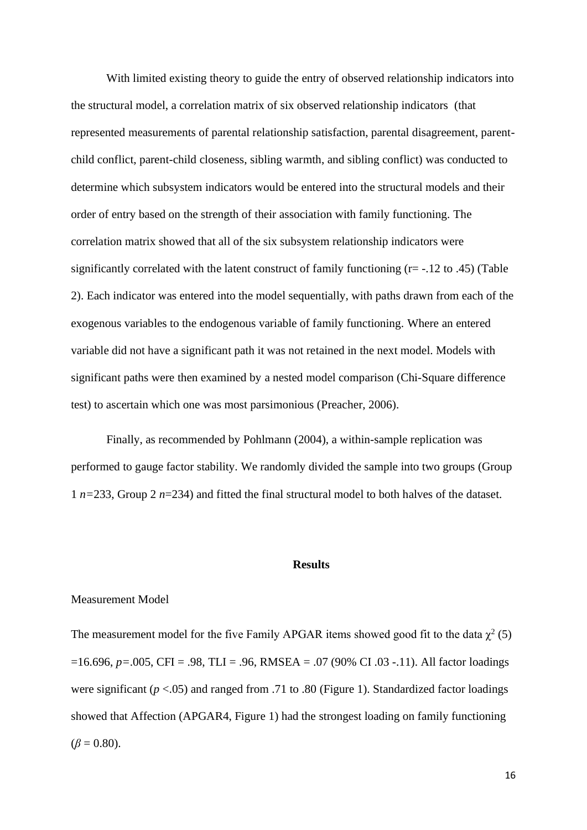With limited existing theory to guide the entry of observed relationship indicators into the structural model, a correlation matrix of six observed relationship indicators (that represented measurements of parental relationship satisfaction, parental disagreement, parentchild conflict, parent-child closeness, sibling warmth, and sibling conflict) was conducted to determine which subsystem indicators would be entered into the structural models and their order of entry based on the strength of their association with family functioning. The correlation matrix showed that all of the six subsystem relationship indicators were significantly correlated with the latent construct of family functioning (r= -.12 to .45) (Table 2). Each indicator was entered into the model sequentially, with paths drawn from each of the exogenous variables to the endogenous variable of family functioning. Where an entered variable did not have a significant path it was not retained in the next model. Models with significant paths were then examined by a nested model comparison (Chi-Square difference test) to ascertain which one was most parsimonious (Preacher, 2006).

Finally, as recommended by Pohlmann (2004), a within-sample replication was performed to gauge factor stability. We randomly divided the sample into two groups (Group 1 *n=*233, Group 2 *n*=234) and fitted the final structural model to both halves of the dataset.

#### **Results**

### Measurement Model

The measurement model for the five Family APGAR items showed good fit to the data  $\chi^2$  (5) =16.696, *p=*.005, CFI = .98, TLI = .96, RMSEA = .07 (90% CI .03 -.11). All factor loadings were significant (*p* <.05) and ranged from .71 to .80 (Figure 1). Standardized factor loadings showed that Affection (APGAR4, Figure 1) had the strongest loading on family functioning  $(\beta = 0.80)$ .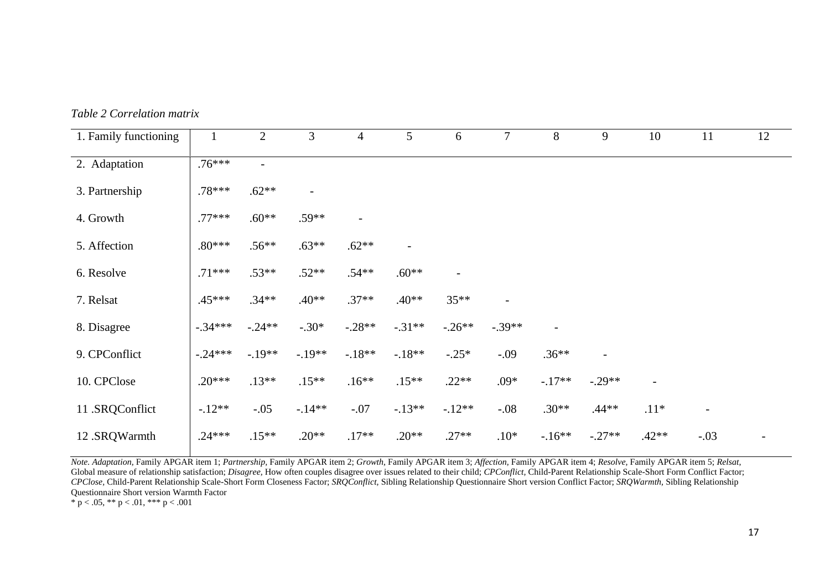|  | Table 2 Correlation matrix |  |
|--|----------------------------|--|
|--|----------------------------|--|

| 1. Family functioning | $\mathbf{1}$ | $\overline{2}$ | 3                        | $\overline{4}$    | 5        | 6                        | $\tau$                   | $8\,$                    | 9                        | 10             | 11                       | 12 |
|-----------------------|--------------|----------------|--------------------------|-------------------|----------|--------------------------|--------------------------|--------------------------|--------------------------|----------------|--------------------------|----|
| 2. Adaptation         | $.76***$     | $\overline{a}$ |                          |                   |          |                          |                          |                          |                          |                |                          |    |
| 3. Partnership        | .78***       | $.62**$        | $\overline{\phantom{a}}$ |                   |          |                          |                          |                          |                          |                |                          |    |
| 4. Growth             | $.77***$     | $.60**$        | $.59**$                  | $\qquad \qquad -$ |          |                          |                          |                          |                          |                |                          |    |
| 5. Affection          | $.80***$     | $.56**$        | $.63**$                  | $.62**$           |          |                          |                          |                          |                          |                |                          |    |
| 6. Resolve            | $.71***$     | $.53**$        | $.52**$                  | $.54**$           | $.60**$  | $\overline{\phantom{a}}$ |                          |                          |                          |                |                          |    |
| 7. Relsat             | $.45***$     | $.34**$        | $.40**$                  | $.37**$           | $.40**$  | $35***$                  | $\overline{\phantom{0}}$ |                          |                          |                |                          |    |
| 8. Disagree           | $-.34***$    | $-.24**$       | $-.30*$                  | $-.28**$          | $-.31**$ | $-.26**$                 | $-.39**$                 | $\overline{\phantom{0}}$ |                          |                |                          |    |
| 9. CPConflict         | $-.24***$    | $-.19**$       | $-.19**$                 | $-.18**$          | $-.18**$ | $-.25*$                  | $-.09$                   | $.36**$                  | $\overline{\phantom{0}}$ |                |                          |    |
| 10. CPClose           | $.20***$     | $.13**$        | $.15**$                  | $.16**$           | $.15**$  | $.22**$                  | .09*                     | $-.17**$                 | $-.29**$                 | $\overline{a}$ |                          |    |
| 11 .SRQConflict       | $-.12**$     | $-.05$         | $-.14**$                 | $-.07$            | $-.13**$ | $-.12**$                 | $-.08$                   | $.30**$                  | $.44**$                  | $.11*$         | $\overline{\phantom{a}}$ |    |
| 12 .SRQWarmth         | $.24***$     | $.15**$        | $.20**$                  | $.17**$           | $.20**$  | $.27**$                  | $.10*$                   | $-16**$                  | $-.27**$                 | $.42**$        | $-.03$                   |    |

*Note. Adaptation,* Family APGAR item 1; *Partnership,* Family APGAR item 2; *Growth,* Family APGAR item 3; *Affection,* Family APGAR item 4; *Resolve,* Family APGAR item 5; *Relsat*, Global measure of relationship satisfaction; *Disagree,* How often couples disagree over issues related to their child; *CPConflict,* Child-Parent Relationship Scale-Short Form Conflict Factor; *CPClose,* Child-Parent Relationship Scale-Short Form Closeness Factor; *SRQConflict,* Sibling Relationship Questionnaire Short version Conflict Factor; *SRQWarmth,* Sibling Relationship Questionnaire Short version Warmth Factor

\* p < .05, \*\* p < .01, \*\*\* p < .001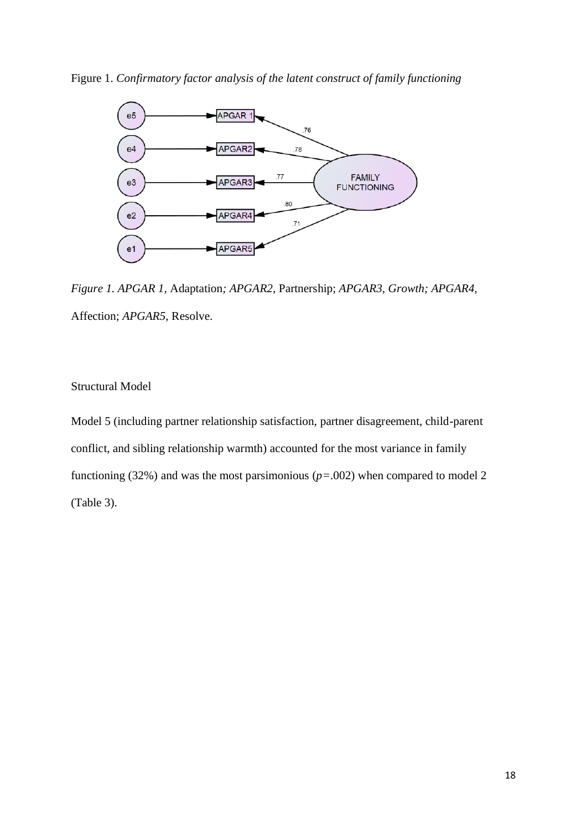Figure 1. *Confirmatory factor analysis of the latent construct of family functioning*



*Figure 1. APGAR 1,* Adaptation*; APGAR2,* Partnership; *APGAR3, Growth; APGAR4,*  Affection; *APGAR5,* Resolve.

### Structural Model

Model 5 (including partner relationship satisfaction, partner disagreement, child-parent conflict, and sibling relationship warmth) accounted for the most variance in family functioning (32%) and was the most parsimonious (*p=*.002) when compared to model 2 (Table 3).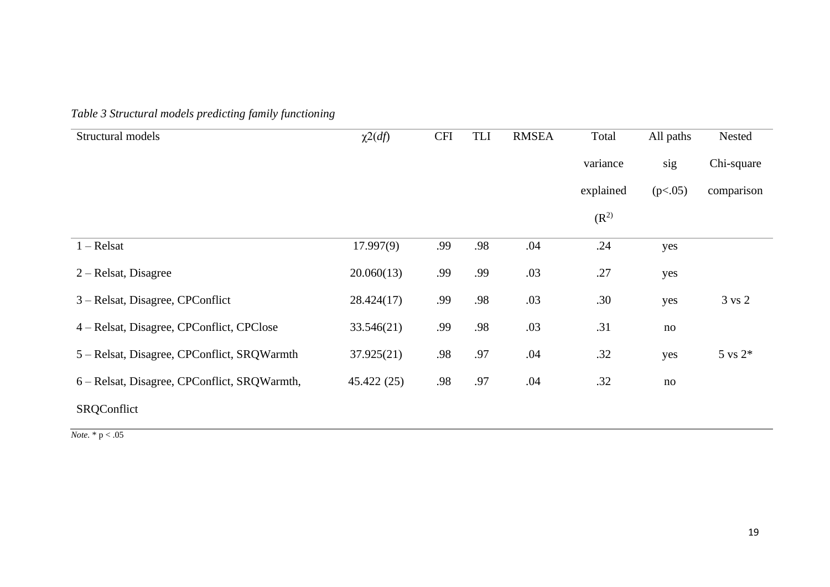| Table 3 Structural models predicting family functioning |  |
|---------------------------------------------------------|--|
|---------------------------------------------------------|--|

| Structural models                            | $\chi^2(df)$ | <b>CFI</b> | TLI | <b>RMSEA</b> | Total     | All paths | Nested              |
|----------------------------------------------|--------------|------------|-----|--------------|-----------|-----------|---------------------|
|                                              |              |            |     |              | variance  | sig       | Chi-square          |
|                                              |              |            |     |              | explained | (p<.05)   | comparison          |
|                                              |              |            |     |              | $(R^2)$   |           |                     |
| $1 - Relsat$                                 | 17.997(9)    | .99        | .98 | .04          | .24       | yes       |                     |
| $2 -$ Relsat, Disagree                       | 20.060(13)   | .99        | .99 | .03          | .27       | yes       |                     |
| 3 – Relsat, Disagree, CPConflict             | 28.424(17)   | .99        | .98 | .03          | .30       | yes       | $3 \text{ vs } 2$   |
| 4 – Relsat, Disagree, CPConflict, CPClose    | 33.546(21)   | .99        | .98 | .03          | .31       | no        |                     |
| 5 – Relsat, Disagree, CPConflict, SRQWarmth  | 37.925(21)   | .98        | .97 | .04          | .32       | yes       | $5 \text{ vs } 2^*$ |
| 6 – Relsat, Disagree, CPConflict, SRQWarmth, | 45.422(25)   | .98        | .97 | .04          | .32       | no        |                     |
| SRQConflict                                  |              |            |     |              |           |           |                     |

*Note.* \* p < .05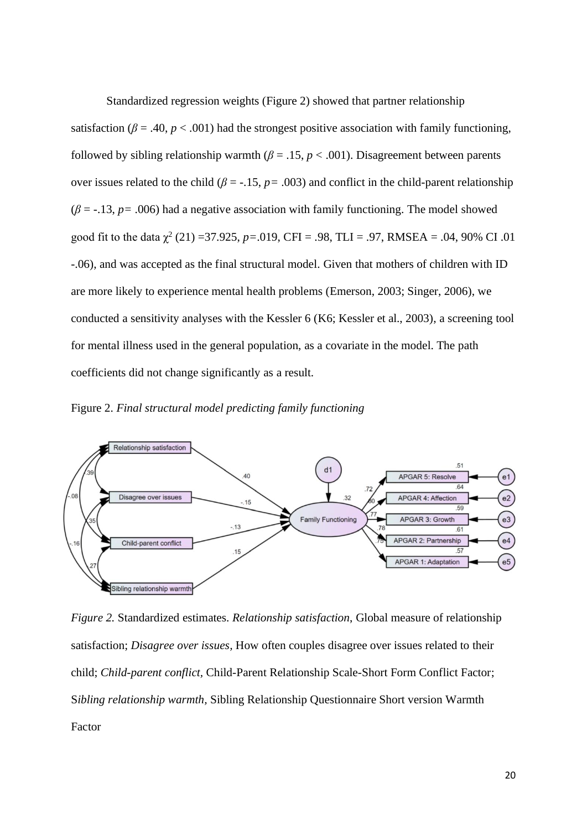Standardized regression weights (Figure 2) showed that partner relationship satisfaction ( $\beta = .40$ ,  $p < .001$ ) had the strongest positive association with family functioning, followed by sibling relationship warmth ( $\beta = .15$ ,  $p < .001$ ). Disagreement between parents over issues related to the child ( $\beta$  = -.15,  $p$  = .003) and conflict in the child-parent relationship  $(\beta = -13, p = .006)$  had a negative association with family functioning. The model showed good fit to the data  $\chi^2$  (21) =37.925, *p*=.019, CFI = .98, TLI = .97, RMSEA = .04, 90% CI .01 -.06), and was accepted as the final structural model. Given that mothers of children with ID are more likely to experience mental health problems (Emerson, 2003; Singer, 2006), we conducted a sensitivity analyses with the Kessler 6 (K6; Kessler et al., 2003), a screening tool for mental illness used in the general population, as a covariate in the model. The path coefficients did not change significantly as a result.

Figure 2. *Final structural model predicting family functioning*



*Figure 2.* Standardized estimates. *Relationship satisfaction*, Global measure of relationship satisfaction; *Disagree over issues,* How often couples disagree over issues related to their child; *Child-parent conflict,* Child-Parent Relationship Scale-Short Form Conflict Factor; S*ibling relationship warmth,* Sibling Relationship Questionnaire Short version Warmth Factor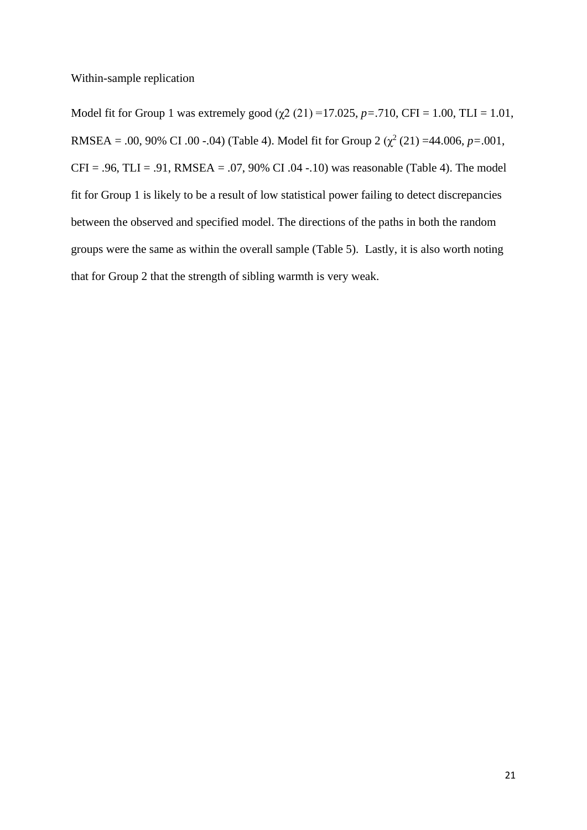Within-sample replication

Model fit for Group 1 was extremely good  $(\gamma 2 (21) = 17.025, p = .710, CFI = 1.00, TLI = 1.01,$ RMSEA = .00, 90% CI .00 -.04) (Table 4). Model fit for Group 2 ( $\chi^2$  (21) =44.006, *p*=.001,  $CFI = .96$ ,  $TLI = .91$ ,  $RMSEA = .07$ ,  $90\%$  CI  $.04 - .10$ ) was reasonable (Table 4). The model fit for Group 1 is likely to be a result of low statistical power failing to detect discrepancies between the observed and specified model. The directions of the paths in both the random groups were the same as within the overall sample (Table 5). Lastly, it is also worth noting that for Group 2 that the strength of sibling warmth is very weak.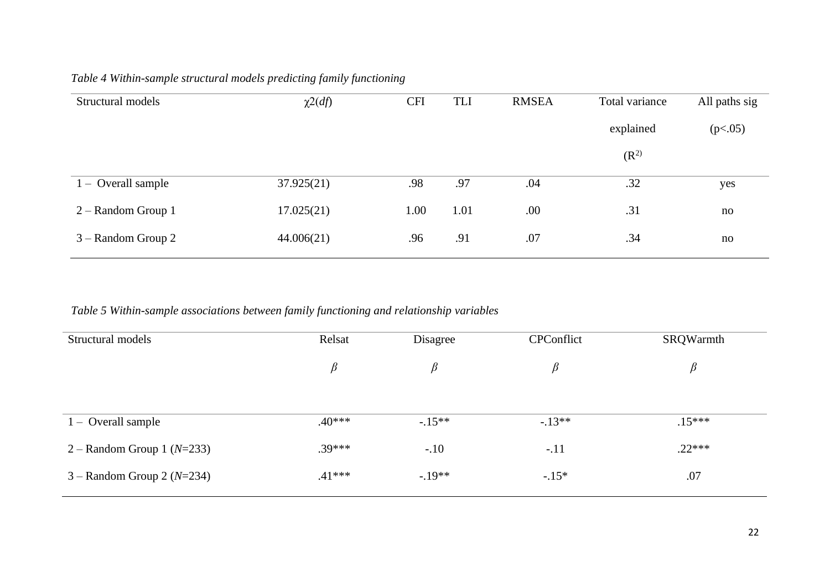| Structural models    | $\chi^2(df)$ | <b>CFI</b> | <b>TLI</b> | <b>RMSEA</b> | Total variance | All paths sig |
|----------------------|--------------|------------|------------|--------------|----------------|---------------|
|                      |              |            |            |              | explained      | (p<.05)       |
|                      |              |            |            |              | $(R^2)$        |               |
| $1 -$ Overall sample | 37.925(21)   | .98        | .97        | .04          | .32            | yes           |
| $2 -$ Random Group 1 | 17.025(21)   | 1.00       | 1.01       | .00          | .31            | no            |
| $3 -$ Random Group 2 | 44.006(21)   | .96        | .91        | .07          | .34            | no            |

## *Table 4 Within-sample structural models predicting family functioning*

*Table 5 Within-sample associations between family functioning and relationship variables*

| Structural models              | Relsat   | Disagree | CPConflict | SRQWarmth |
|--------------------------------|----------|----------|------------|-----------|
|                                | $\beta$  | β        | $\beta$    | $\beta$   |
|                                |          |          |            |           |
|                                |          |          |            |           |
| $1 -$ Overall sample           | $.40***$ | $-.15**$ | $-13**$    | $.15***$  |
| 2 – Random Group 1 ( $N=233$ ) | $.39***$ | $-.10$   | $-.11$     | $.22***$  |
| $3 -$ Random Group 2 (N=234)   | $.41***$ | $-.19**$ | $-.15*$    | .07       |
|                                |          |          |            |           |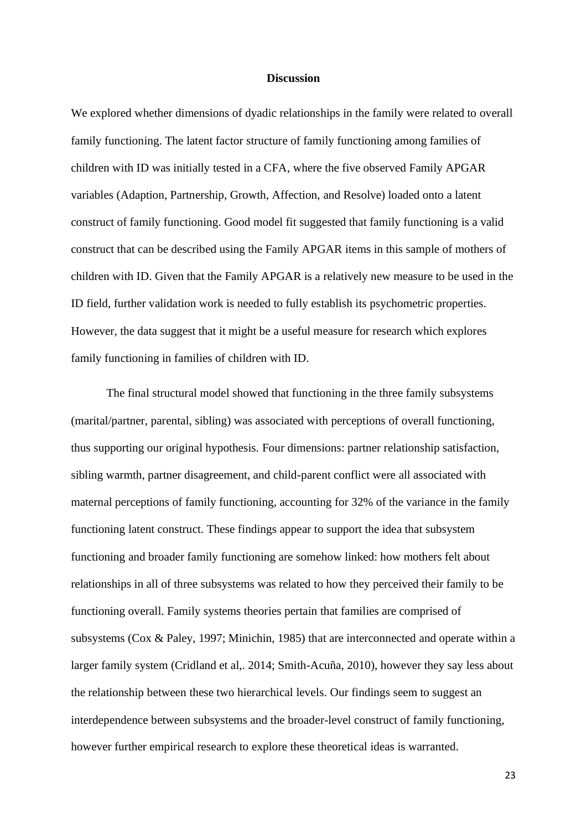### **Discussion**

We explored whether dimensions of dyadic relationships in the family were related to overall family functioning. The latent factor structure of family functioning among families of children with ID was initially tested in a CFA, where the five observed Family APGAR variables (Adaption, Partnership, Growth, Affection, and Resolve) loaded onto a latent construct of family functioning. Good model fit suggested that family functioning is a valid construct that can be described using the Family APGAR items in this sample of mothers of children with ID. Given that the Family APGAR is a relatively new measure to be used in the ID field, further validation work is needed to fully establish its psychometric properties. However, the data suggest that it might be a useful measure for research which explores family functioning in families of children with ID.

The final structural model showed that functioning in the three family subsystems (marital/partner, parental, sibling) was associated with perceptions of overall functioning, thus supporting our original hypothesis. Four dimensions: partner relationship satisfaction, sibling warmth, partner disagreement, and child-parent conflict were all associated with maternal perceptions of family functioning, accounting for 32% of the variance in the family functioning latent construct. These findings appear to support the idea that subsystem functioning and broader family functioning are somehow linked: how mothers felt about relationships in all of three subsystems was related to how they perceived their family to be functioning overall. Family systems theories pertain that families are comprised of subsystems (Cox & Paley, 1997; Minichin, 1985) that are interconnected and operate within a larger family system (Cridland et al,. 2014; Smith-Acuña, 2010), however they say less about the relationship between these two hierarchical levels. Our findings seem to suggest an interdependence between subsystems and the broader-level construct of family functioning, however further empirical research to explore these theoretical ideas is warranted.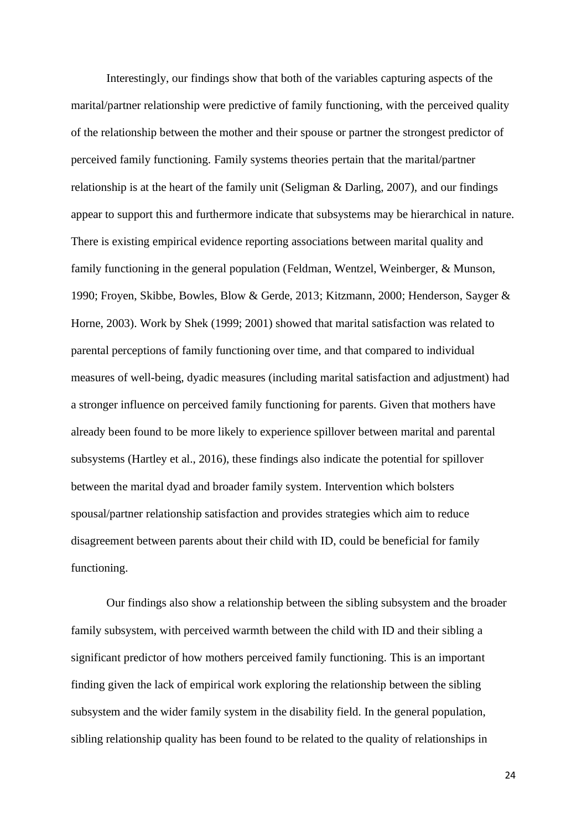Interestingly, our findings show that both of the variables capturing aspects of the marital/partner relationship were predictive of family functioning, with the perceived quality of the relationship between the mother and their spouse or partner the strongest predictor of perceived family functioning. Family systems theories pertain that the marital/partner relationship is at the heart of the family unit (Seligman & Darling, 2007), and our findings appear to support this and furthermore indicate that subsystems may be hierarchical in nature. There is existing empirical evidence reporting associations between marital quality and family functioning in the general population (Feldman, Wentzel, Weinberger, & Munson, 1990; Froyen, Skibbe, Bowles, Blow & Gerde, 2013; Kitzmann, 2000; Henderson, Sayger & Horne, 2003). Work by Shek (1999; 2001) showed that marital satisfaction was related to parental perceptions of family functioning over time, and that compared to individual measures of well-being, dyadic measures (including marital satisfaction and adjustment) had a stronger influence on perceived family functioning for parents. Given that mothers have already been found to be more likely to experience spillover between marital and parental subsystems (Hartley et al., 2016), these findings also indicate the potential for spillover between the marital dyad and broader family system. Intervention which bolsters spousal/partner relationship satisfaction and provides strategies which aim to reduce disagreement between parents about their child with ID, could be beneficial for family functioning.

Our findings also show a relationship between the sibling subsystem and the broader family subsystem, with perceived warmth between the child with ID and their sibling a significant predictor of how mothers perceived family functioning. This is an important finding given the lack of empirical work exploring the relationship between the sibling subsystem and the wider family system in the disability field. In the general population, sibling relationship quality has been found to be related to the quality of relationships in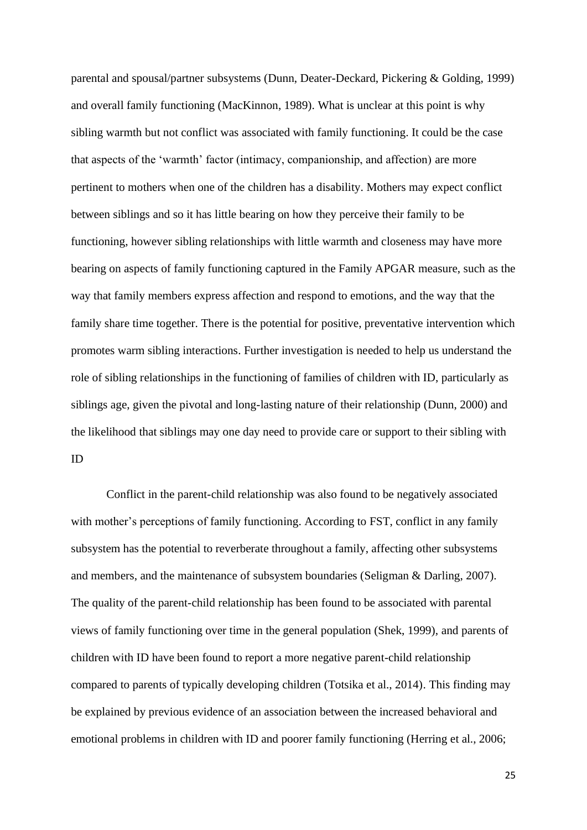parental and spousal/partner subsystems (Dunn, Deater-Deckard, Pickering & Golding, 1999) and overall family functioning (MacKinnon, 1989). What is unclear at this point is why sibling warmth but not conflict was associated with family functioning. It could be the case that aspects of the 'warmth' factor (intimacy, companionship, and affection) are more pertinent to mothers when one of the children has a disability. Mothers may expect conflict between siblings and so it has little bearing on how they perceive their family to be functioning, however sibling relationships with little warmth and closeness may have more bearing on aspects of family functioning captured in the Family APGAR measure, such as the way that family members express affection and respond to emotions, and the way that the family share time together. There is the potential for positive, preventative intervention which promotes warm sibling interactions. Further investigation is needed to help us understand the role of sibling relationships in the functioning of families of children with ID, particularly as siblings age, given the pivotal and long-lasting nature of their relationship (Dunn, 2000) and the likelihood that siblings may one day need to provide care or support to their sibling with ID

Conflict in the parent-child relationship was also found to be negatively associated with mother's perceptions of family functioning. According to FST, conflict in any family subsystem has the potential to reverberate throughout a family, affecting other subsystems and members, and the maintenance of subsystem boundaries (Seligman & Darling, 2007). The quality of the parent-child relationship has been found to be associated with parental views of family functioning over time in the general population (Shek, 1999), and parents of children with ID have been found to report a more negative parent-child relationship compared to parents of typically developing children (Totsika et al., 2014). This finding may be explained by previous evidence of an association between the increased behavioral and emotional problems in children with ID and poorer family functioning (Herring et al., 2006;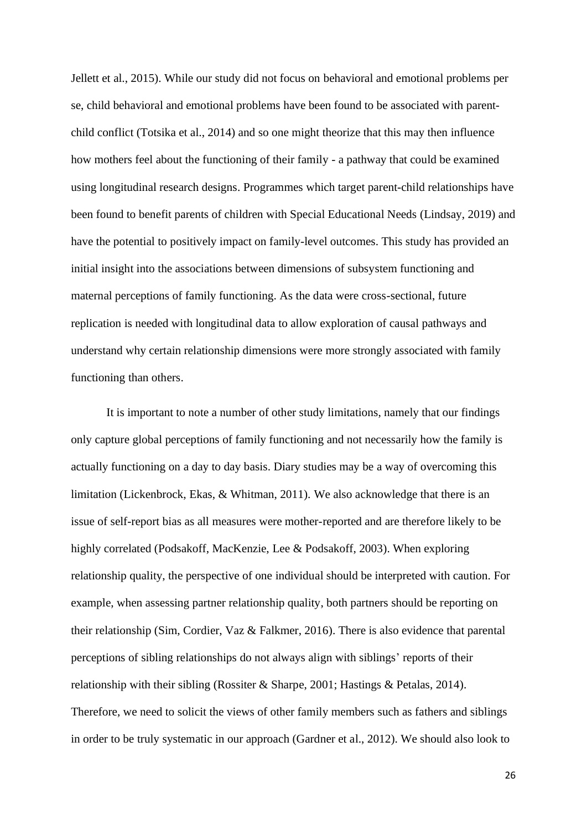Jellett et al., 2015). While our study did not focus on behavioral and emotional problems per se, child behavioral and emotional problems have been found to be associated with parentchild conflict (Totsika et al., 2014) and so one might theorize that this may then influence how mothers feel about the functioning of their family - a pathway that could be examined using longitudinal research designs. Programmes which target parent-child relationships have been found to benefit parents of children with Special Educational Needs (Lindsay, 2019) and have the potential to positively impact on family-level outcomes. This study has provided an initial insight into the associations between dimensions of subsystem functioning and maternal perceptions of family functioning. As the data were cross-sectional, future replication is needed with longitudinal data to allow exploration of causal pathways and understand why certain relationship dimensions were more strongly associated with family functioning than others.

It is important to note a number of other study limitations, namely that our findings only capture global perceptions of family functioning and not necessarily how the family is actually functioning on a day to day basis. Diary studies may be a way of overcoming this limitation (Lickenbrock, Ekas, & Whitman, 2011). We also acknowledge that there is an issue of self-report bias as all measures were mother-reported and are therefore likely to be highly correlated (Podsakoff, MacKenzie, Lee & Podsakoff, 2003). When exploring relationship quality, the perspective of one individual should be interpreted with caution. For example, when assessing partner relationship quality, both partners should be reporting on their relationship (Sim, Cordier, Vaz & Falkmer, 2016). There is also evidence that parental perceptions of sibling relationships do not always align with siblings' reports of their relationship with their sibling (Rossiter & Sharpe, 2001; Hastings & Petalas, 2014). Therefore, we need to solicit the views of other family members such as fathers and siblings in order to be truly systematic in our approach (Gardner et al., 2012). We should also look to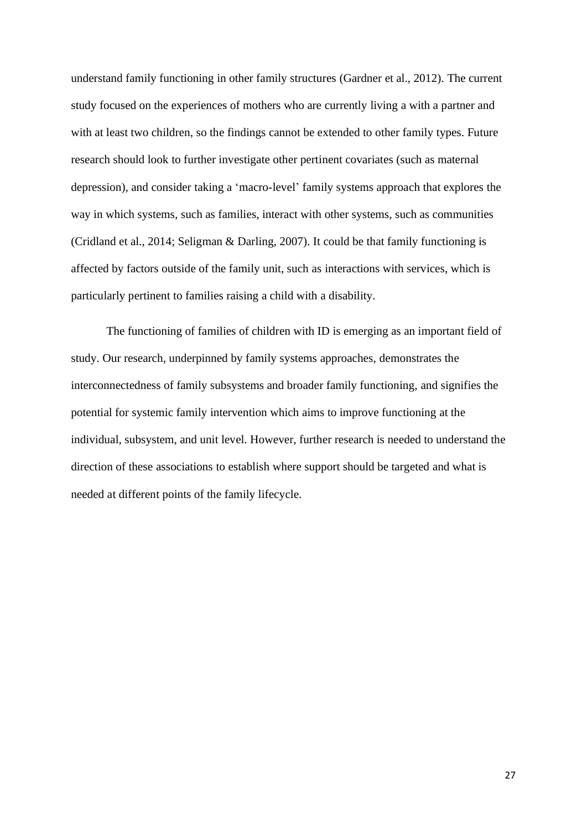understand family functioning in other family structures (Gardner et al., 2012). The current study focused on the experiences of mothers who are currently living a with a partner and with at least two children, so the findings cannot be extended to other family types. Future research should look to further investigate other pertinent covariates (such as maternal depression), and consider taking a 'macro-level' family systems approach that explores the way in which systems, such as families, interact with other systems, such as communities (Cridland et al., 2014; Seligman & Darling, 2007). It could be that family functioning is affected by factors outside of the family unit, such as interactions with services, which is particularly pertinent to families raising a child with a disability.

The functioning of families of children with ID is emerging as an important field of study. Our research, underpinned by family systems approaches, demonstrates the interconnectedness of family subsystems and broader family functioning, and signifies the potential for systemic family intervention which aims to improve functioning at the individual, subsystem, and unit level. However, further research is needed to understand the direction of these associations to establish where support should be targeted and what is needed at different points of the family lifecycle.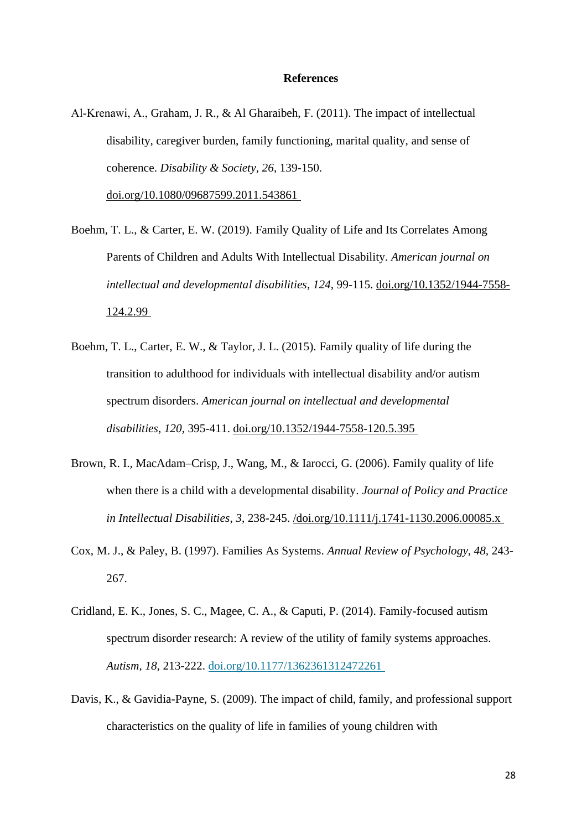### **References**

Al‐Krenawi, A., Graham, J. R., & Al Gharaibeh, F. (2011). The impact of intellectual disability, caregiver burden, family functioning, marital quality, and sense of coherence. *Disability & Society*, *26*, 139-150. [doi.org/10.1080/09687599.2011.543861](https://doi.org/10.1080/09687599.2011.543861)

Boehm, T. L., & Carter, E. W. (2019). Family Quality of Life and Its Correlates Among Parents of Children and Adults With Intellectual Disability. *American journal on intellectual and developmental disabilities*, *124*, 99-115. [doi.org/10.1352/1944-7558-](https://doi.org/10.1352/1944-7558-124.2.99) [124.2.99](https://doi.org/10.1352/1944-7558-124.2.99)

- Boehm, T. L., Carter, E. W., & Taylor, J. L. (2015). Family quality of life during the transition to adulthood for individuals with intellectual disability and/or autism spectrum disorders. *American journal on intellectual and developmental disabilities*, *120*, 395-411. [doi.org/10.1352/1944-7558-120.5.395](https://doi.org/10.1352/1944-7558-120.5.395)
- Brown, R. I., MacAdam–Crisp, J., Wang, M., & Iarocci, G. (2006). Family quality of life when there is a child with a developmental disability. *Journal of Policy and Practice in Intellectual Disabilities*, *3*, 238-245. [/doi.org/10.1111/j.1741-1130.2006.00085.x](https://doi.org/10.1111/j.1741-1130.2006.00085.x)
- Cox, M. J., & Paley, B. (1997). Families As Systems. *Annual Review of Psychology, 48,* 243- 267.
- Cridland, E. K., Jones, S. C., Magee, C. A., & Caputi, P. (2014). Family-focused autism spectrum disorder research: A review of the utility of family systems approaches. *Autism, 18,* 213-222. [doi.org/10.1177/1362361312472261](https://doi.org/10.1177/1362361312472261)
- Davis, K., & Gavidia-Payne, S. (2009). The impact of child, family, and professional support characteristics on the quality of life in families of young children with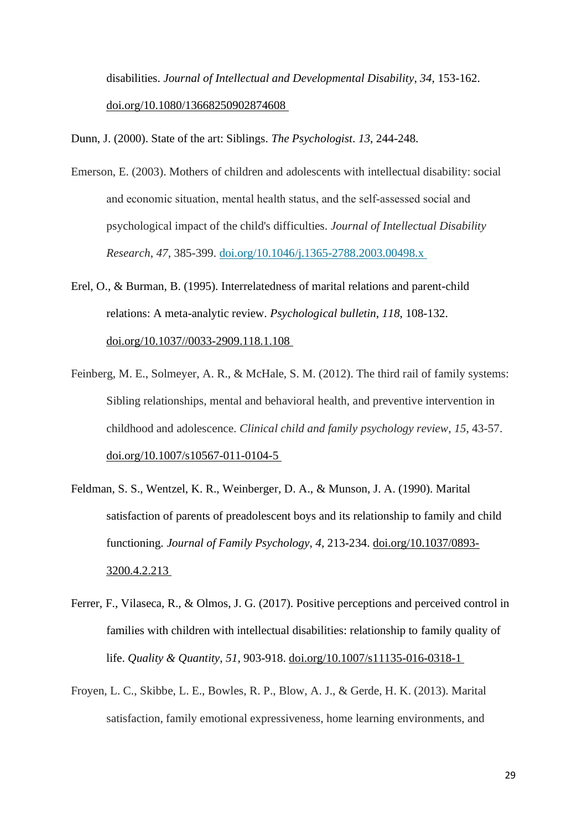disabilities. *Journal of Intellectual and Developmental Disability*, *34*, 153-162. [doi.org/10.1080/13668250902874608](https://doi.org/10.1080/13668250902874608)

Dunn, J. (2000). State of the art: Siblings. *The Psychologist*. *13*, 244-248.

- Emerson, E. (2003). Mothers of children and adolescents with intellectual disability: social and economic situation, mental health status, and the self‐assessed social and psychological impact of the child's difficulties. *Journal of Intellectual Disability Research*, *47*, 385-399. [doi.org/10.1046/j.1365-2788.2003.00498.x](https://doi.org/10.1046/j.1365-2788.2003.00498.x)
- Erel, O., & Burman, B. (1995). Interrelatedness of marital relations and parent-child relations: A meta-analytic review. *Psychological bulletin*, *118*, 108-132. [doi.org/10.1037//0033-2909.118.1.108](https://doi.org/10.1037/0033-2909.118.1.108)
- Feinberg, M. E., Solmeyer, A. R., & McHale, S. M. (2012). The third rail of family systems: Sibling relationships, mental and behavioral health, and preventive intervention in childhood and adolescence. *Clinical child and family psychology review*, *15*, 43-57. [doi.org/10.1007/s10567-011-0104-5](https://doi.org/10.1007/s10567-011-0104-5)
- Feldman, S. S., Wentzel, K. R., Weinberger, D. A., & Munson, J. A. (1990). Marital satisfaction of parents of preadolescent boys and its relationship to family and child functioning. *Journal of Family Psychology*, *4*, 213-234. [doi.org/10.1037/0893-](https://doi.org/10.1037/0893-3200.4.2.213) [3200.4.2.213](https://doi.org/10.1037/0893-3200.4.2.213)
- Ferrer, F., Vilaseca, R., & Olmos, J. G. (2017). Positive perceptions and perceived control in families with children with intellectual disabilities: relationship to family quality of life. *Quality & Quantity*, *51*, 903-918. [doi.org/10.1007/s11135-016-0318-1](https://doi.org/10.1007/s11135-016-0318-1)
- Froyen, L. C., Skibbe, L. E., Bowles, R. P., Blow, A. J., & Gerde, H. K. (2013). Marital satisfaction, family emotional expressiveness, home learning environments, and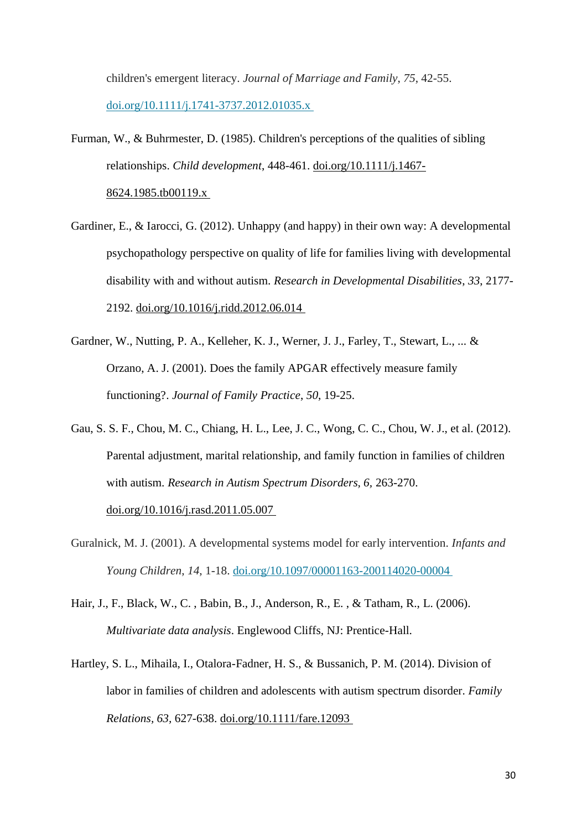children's emergent literacy. *Journal of Marriage and Family*, *75*, 42-55. [doi.org/10.1111/j.1741-3737.2012.01035.x](https://doi.org/10.1111/j.1741-3737.2012.01035.x)

- Furman, W., & Buhrmester, D. (1985). Children's perceptions of the qualities of sibling relationships. *Child development*, 448-461. [doi.org/10.1111/j.1467-](https://doi.org/10.1111/j.1467-8624.1985.tb00119.x) [8624.1985.tb00119.x](https://doi.org/10.1111/j.1467-8624.1985.tb00119.x)
- Gardiner, E., & Iarocci, G. (2012). Unhappy (and happy) in their own way: A developmental psychopathology perspective on quality of life for families living with developmental disability with and without autism. *Research in Developmental Disabilities*, *33*, 2177- 2192. [doi.org/10.1016/j.ridd.2012.06.014](https://doi.org/10.1016/j.ridd.2012.06.014)
- Gardner, W., Nutting, P. A., Kelleher, K. J., Werner, J. J., Farley, T., Stewart, L., ... & Orzano, A. J. (2001). Does the family APGAR effectively measure family functioning?. *Journal of Family Practice*, *50*, 19-25.
- Gau, S. S. F., Chou, M. C., Chiang, H. L., Lee, J. C., Wong, C. C., Chou, W. J., et al. (2012). Parental adjustment, marital relationship, and family function in families of children with autism. *Research in Autism Spectrum Disorders, 6,* 263-270. [doi.org/10.1016/j.rasd.2011.05.007](https://doi.org/10.1016/j.rasd.2011.05.007)
- Guralnick, M. J. (2001). A developmental systems model for early intervention. *Infants and Young Children*, *14*, 1-18. [doi.org/10.1097/00001163-200114020-00004](https://doi.org/10.1097/00001163-200114020-00004)
- Hair, J., F., Black, W., C. , Babin, B., J., Anderson, R., E. , & Tatham, R., L. (2006). *Multivariate data analysis*. Englewood Cliffs, NJ: Prentice-Hall.
- Hartley, S. L., Mihaila, I., Otalora-Fadner, H. S., & Bussanich, P. M. (2014). Division of labor in families of children and adolescents with autism spectrum disorder. *Family Relations, 63,* 627-638. [doi.org/10.1111/fare.12093](https://doi.org/10.1111/fare.12093)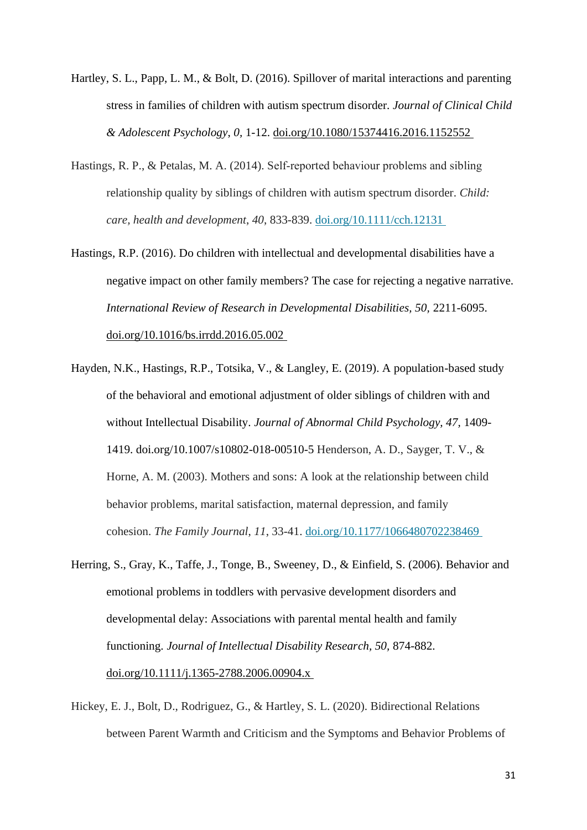- Hartley, S. L., Papp, L. M., & Bolt, D. (2016). Spillover of marital interactions and parenting stress in families of children with autism spectrum disorder. *Journal of Clinical Child & Adolescent Psychology*, *0,* 1-12. [doi.org/10.1080/15374416.2016.1152552](https://doi.org/10.1080/15374416.2016.1152552)
- Hastings, R. P., & Petalas, M. A. (2014). Self-reported behaviour problems and sibling relationship quality by siblings of children with autism spectrum disorder. *Child: care, health and development*, *40*, 833-839. [doi.org/10.1111/cch.12131](https://doi.org/10.1111/cch.12131)
- Hastings, R.P. (2016). Do children with intellectual and developmental disabilities have a negative impact on other family members? The case for rejecting a negative narrative. *International Review of Research in Developmental Disabilities, 50,* 2211-6095. [doi.org/10.1016/bs.irrdd.2016.05.002](https://doi.org/10.1016/bs.irrdd.2016.05.002)
- Hayden, N.K., Hastings, R.P., Totsika, V., & Langley, E. (2019). A population-based study of the behavioral and emotional adjustment of older siblings of children with and without Intellectual Disability. *Journal of Abnormal Child Psychology, 47,* 1409- 1419. doi.org/10.1007/s10802-018-00510-5 Henderson, A. D., Sayger, T. V., & Horne, A. M. (2003). Mothers and sons: A look at the relationship between child behavior problems, marital satisfaction, maternal depression, and family cohesion. *The Family Journal*, *11*, 33-41. [doi.org/10.1177/1066480702238469](https://doi.org/10.1177/1066480702238469)
- Herring, S., Gray, K., Taffe, J., Tonge, B., Sweeney, D., & Einfield, S. (2006). Behavior and emotional problems in toddlers with pervasive development disorders and developmental delay: Associations with parental mental health and family functioning. *Journal of Intellectual Disability Research, 50,* 874-882. [doi.org/10.1111/j.1365-2788.2006.00904.x](https://doi.org/10.1111/j.1365-2788.2006.00904.x)
- Hickey, E. J., Bolt, D., Rodriguez, G., & Hartley, S. L. (2020). Bidirectional Relations between Parent Warmth and Criticism and the Symptoms and Behavior Problems of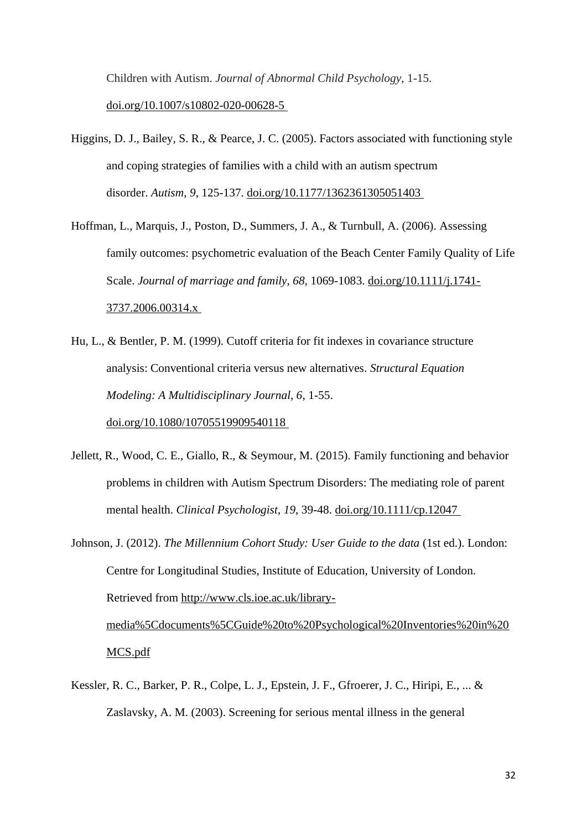Children with Autism. *Journal of Abnormal Child Psychology*, 1-15. [doi.org/10.1007/s10802-020-00628-5](https://doi.org/10.1007/s10802-020-00628-5)

- Higgins, D. J., Bailey, S. R., & Pearce, J. C. (2005). Factors associated with functioning style and coping strategies of families with a child with an autism spectrum disorder. *Autism*, *9*, 125-137. [doi.org/10.1177/1362361305051403](https://doi.org/10.1177/1362361305051403)
- Hoffman, L., Marquis, J., Poston, D., Summers, J. A., & Turnbull, A. (2006). Assessing family outcomes: psychometric evaluation of the Beach Center Family Quality of Life Scale. *Journal of marriage and family*, *68*, 1069-1083. [doi.org/10.1111/j.1741-](https://doi.org/10.1111/j.1741-3737.2006.00314.x) [3737.2006.00314.x](https://doi.org/10.1111/j.1741-3737.2006.00314.x)
- Hu, L., & Bentler, P. M. (1999). Cutoff criteria for fit indexes in covariance structure analysis: Conventional criteria versus new alternatives. *Structural Equation Modeling: A Multidisciplinary Journal, 6*, 1-55. [doi.org/10.1080/10705519909540118](https://doi.org/10.1080/10705519909540118)
- Jellett, R., Wood, C. E., Giallo, R., & Seymour, M. (2015). Family functioning and behavior problems in children with Autism Spectrum Disorders: The mediating role of parent mental health. *Clinical Psychologist*, *19*, 39-48. [doi.org/10.1111/cp.12047](https://doi.org/10.1111/cp.12047)
- Johnson, J. (2012). *The Millennium Cohort Study: User Guide to the data* (1st ed.). London: Centre for Longitudinal Studies, Institute of Education, University of London. Retrieved from [http://www.cls.ioe.ac.uk/library](http://www.cls.ioe.ac.uk/library-media%5Cdocuments%5CGuide%20to%20Psychological%20Inventories%20in%20MCS.pdf)[media%5Cdocuments%5CGuide%20to%20Psychological%20Inventories%20in%20](http://www.cls.ioe.ac.uk/library-media%5Cdocuments%5CGuide%20to%20Psychological%20Inventories%20in%20MCS.pdf) [MCS.pdf](http://www.cls.ioe.ac.uk/library-media%5Cdocuments%5CGuide%20to%20Psychological%20Inventories%20in%20MCS.pdf)
- Kessler, R. C., Barker, P. R., Colpe, L. J., Epstein, J. F., Gfroerer, J. C., Hiripi, E., ... & Zaslavsky, A. M. (2003). Screening for serious mental illness in the general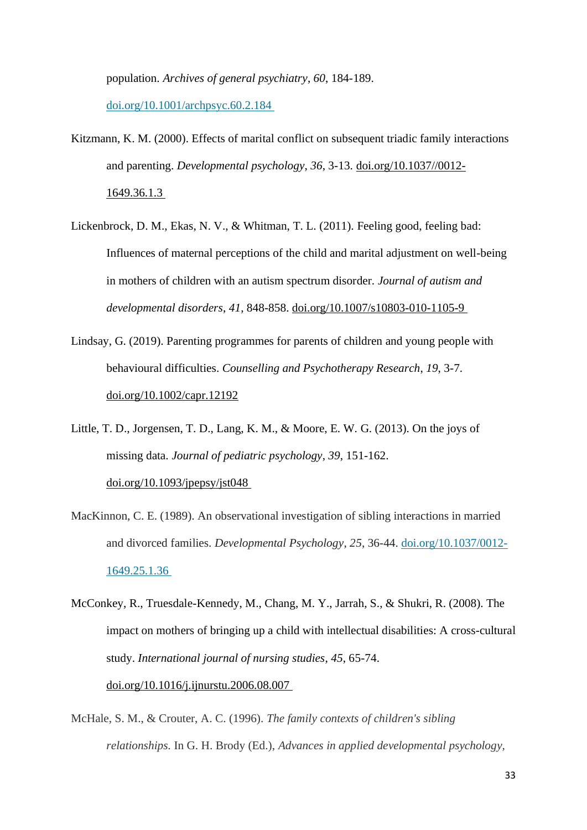population. *Archives of general psychiatry*, *60*, 184-189. [doi.org/10.1001/archpsyc.60.2.184](https://doi.org/10.1001/archpsyc.60.2.184)

- Kitzmann, K. M. (2000). Effects of marital conflict on subsequent triadic family interactions and parenting. *Developmental psychology*, *36*, 3-13. [doi.org/10.1037//0012-](https://doi.org/10.1037/0012-1649.36.1.3) [1649.36.1.3](https://doi.org/10.1037/0012-1649.36.1.3)
- Lickenbrock, D. M., Ekas, N. V., & Whitman, T. L. (2011). Feeling good, feeling bad: Influences of maternal perceptions of the child and marital adjustment on well-being in mothers of children with an autism spectrum disorder. *Journal of autism and developmental disorders*, *41*, 848-858. [doi.org/10.1007/s10803-010-1105-9](https://doi.org/10.1007/s10803-010-1105-9)
- Lindsay, G. (2019). Parenting programmes for parents of children and young people with behavioural difficulties. *Counselling and Psychotherapy Research*, *19*, 3-7. [doi.org/10.1002/capr.12192](https://doi.org/10.1002/capr.12192)
- Little, T. D., Jorgensen, T. D., Lang, K. M., & Moore, E. W. G. (2013). On the joys of missing data. *Journal of pediatric psychology*, *39*, 151-162. [doi.org/10.1093/jpepsy/jst048](https://doi.org/10.1093/jpepsy/jst048)
- MacKinnon, C. E. (1989). An observational investigation of sibling interactions in married and divorced families. *Developmental Psychology*, *25*, 36-44. [doi.org/10.1037/0012-](https://doi.org/10.1037/0012-1649.25.1.36) [1649.25.1.36](https://doi.org/10.1037/0012-1649.25.1.36)
- McConkey, R., Truesdale-Kennedy, M., Chang, M. Y., Jarrah, S., & Shukri, R. (2008). The impact on mothers of bringing up a child with intellectual disabilities: A cross-cultural study. *International journal of nursing studies*, *45*, 65-74. [doi.org/10.1016/j.ijnurstu.2006.08.007](https://doi.org/10.1016/j.ijnurstu.2006.08.007)
- McHale, S. M., & Crouter, A. C. (1996). *The family contexts of children's sibling relationships.* In G. H. Brody (Ed.), *Advances in applied developmental psychology,*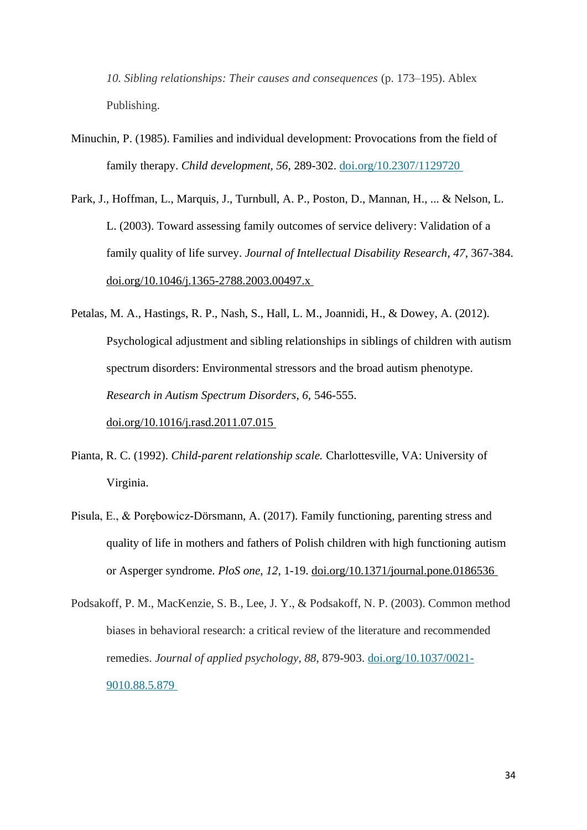*10. Sibling relationships: Their causes and consequences* (p. 173–195). Ablex Publishing.

- Minuchin, P. (1985). Families and individual development: Provocations from the field of family therapy. *Child development, 56,* 289-302. [doi.org/10.2307/1129720](https://doi.org/10.2307/1129720)
- Park, J., Hoffman, L., Marquis, J., Turnbull, A. P., Poston, D., Mannan, H., ... & Nelson, L. L. (2003). Toward assessing family outcomes of service delivery: Validation of a family quality of life survey. *Journal of Intellectual Disability Research*, *47*, 367-384. [doi.org/10.1046/j.1365-2788.2003.00497.x](https://doi.org/10.1046/j.1365-2788.2003.00497.x)
- Petalas, M. A., Hastings, R. P., Nash, S., Hall, L. M., Joannidi, H., & Dowey, A. (2012). Psychological adjustment and sibling relationships in siblings of children with autism spectrum disorders: Environmental stressors and the broad autism phenotype. *Research in Autism Spectrum Disorders, 6,* 546-555. [doi.org/10.1016/j.rasd.2011.07.015](https://doi.org/10.1016/j.rasd.2011.07.015)
- Pianta, R. C. (1992). *Child-parent relationship scale.* Charlottesville, VA: University of Virginia.
- Pisula, E., & Porębowicz-Dörsmann, A. (2017). Family functioning, parenting stress and quality of life in mothers and fathers of Polish children with high functioning autism or Asperger syndrome. *PloS one*, *12*, 1-19. [doi.org/10.1371/journal.pone.0186536](https://doi.org/10.1371/journal.pone.0186536)
- Podsakoff, P. M., MacKenzie, S. B., Lee, J. Y., & Podsakoff, N. P. (2003). Common method biases in behavioral research: a critical review of the literature and recommended remedies. *Journal of applied psychology*, *88*, 879-903. [doi.org/10.1037/0021-](https://doi.org/10.1037/0021-9010.88.5.879) [9010.88.5.879](https://doi.org/10.1037/0021-9010.88.5.879)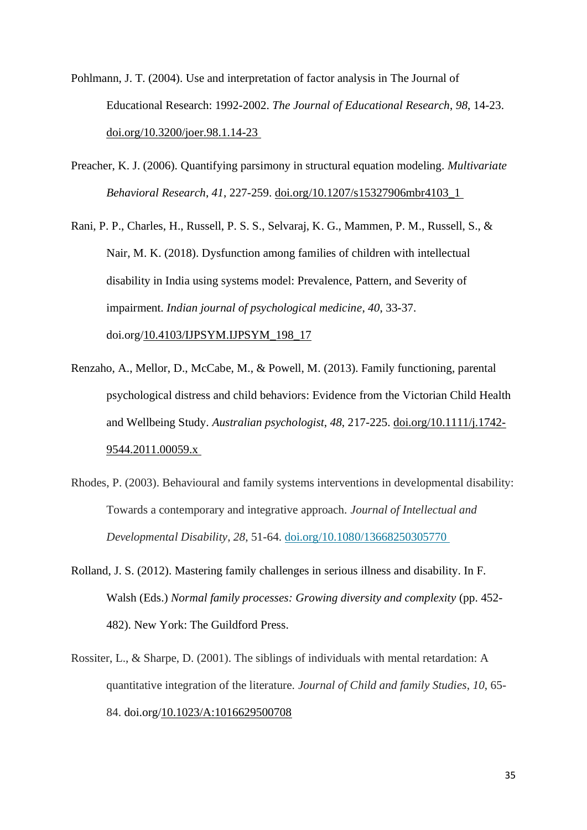- Pohlmann, J. T. (2004). Use and interpretation of factor analysis in The Journal of Educational Research: 1992-2002. *The Journal of Educational Research*, *98*, 14-23. [doi.org/10.3200/joer.98.1.14-23](https://doi.org/10.3200/joer.98.1.14-23)
- Preacher, K. J. (2006). Quantifying parsimony in structural equation modeling. *Multivariate Behavioral Research*, *41*, 227-259. [doi.org/10.1207/s15327906mbr4103\\_1](https://doi.org/10.1207/s15327906mbr4103_1)

Rani, P. P., Charles, H., Russell, P. S. S., Selvaraj, K. G., Mammen, P. M., Russell, S., & Nair, M. K. (2018). Dysfunction among families of children with intellectual disability in India using systems model: Prevalence, Pattern, and Severity of impairment. *Indian journal of psychological medicine*, *40*, 33-37. doi.org[/10.4103/IJPSYM.IJPSYM\\_198\\_17](https://dx.doi.org/10.4103%2FIJPSYM.IJPSYM_198_17)

- Renzaho, A., Mellor, D., McCabe, M., & Powell, M. (2013). Family functioning, parental psychological distress and child behaviors: Evidence from the Victorian Child Health and Wellbeing Study. *Australian psychologist*, *48*, 217-225. [doi.org/10.1111/j.1742-](https://doi.org/10.1111/j.1742-9544.2011.00059.x) [9544.2011.00059.x](https://doi.org/10.1111/j.1742-9544.2011.00059.x)
- Rhodes, P. (2003). Behavioural and family systems interventions in developmental disability: Towards a contemporary and integrative approach. *Journal of Intellectual and Developmental Disability*, *28*, 51-64. [doi.org/10.1080/13668250305770](https://doi.org/10.1080/13668250305770)
- Rolland, J. S. (2012). Mastering family challenges in serious illness and disability. In F. Walsh (Eds.) *Normal family processes: Growing diversity and complexity* (pp. 452- 482). New York: The Guildford Press.
- Rossiter, L., & Sharpe, D. (2001). The siblings of individuals with mental retardation: A quantitative integration of the literature. *Journal of Child and family Studies*, *10*, 65- 84. doi.org[/10.1023/A:1016629500708](https://www.researchgate.net/deref/http%3A%2F%2Fdx.doi.org%2F10.1023%2FA%3A1016629500708?_sg%5B0%5D=2ComcuE-0B_3U0DSx8w5h2LG5RlGLuv9NMWvqbrrbcySTqds7S7lpwTSB0_Wn-YnBSBQUI3NcKuwDHjZ8FPR8WM1Uw.SZD5p2nR96BfnwAxHR1xPAhhWXdP8JGFVokc3gc7X0Ig3wzpFWGvGBm4rT_x3bAzqTuU8Z6nsLWRL8-31PoSng)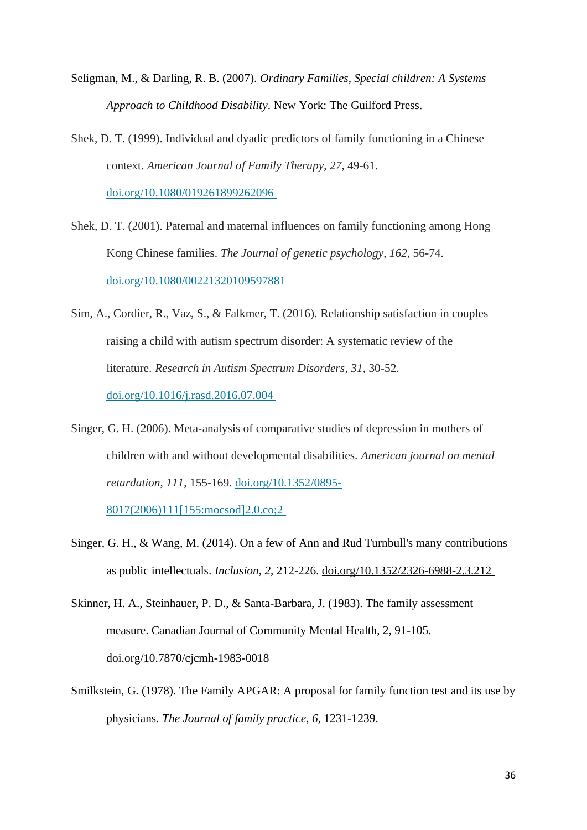- Seligman, M., & Darling, R. B. (2007). *Ordinary Families, Special children: A Systems Approach to Childhood Disability*. New York: The Guilford Press.
- Shek, D. T. (1999). Individual and dyadic predictors of family functioning in a Chinese context. *American Journal of Family Therapy*, *27*, 49-61. [doi.org/10.1080/019261899262096](https://doi.org/10.1080/019261899262096)
- Shek, D. T. (2001). Paternal and maternal influences on family functioning among Hong Kong Chinese families. *The Journal of genetic psychology*, *162*, 56-74. [doi.org/10.1080/00221320109597881](https://doi.org/10.1080/00221320109597881)
- Sim, A., Cordier, R., Vaz, S., & Falkmer, T. (2016). Relationship satisfaction in couples raising a child with autism spectrum disorder: A systematic review of the literature. *Research in Autism Spectrum Disorders*, *31*, 30-52. [doi.org/10.1016/j.rasd.2016.07.004](https://doi.org/10.1016/j.rasd.2016.07.004)
- Singer, G. H. (2006). Meta-analysis of comparative studies of depression in mothers of children with and without developmental disabilities. *American journal on mental retardation*, *111*, 155-169. [doi.org/10.1352/0895-](https://doi.org/10.1352/0895-8017(2006)111%5b155:mocsod%5d2.0.co;2)

[8017\(2006\)111\[155:mocsod\]2.0.co;2](https://doi.org/10.1352/0895-8017(2006)111%5b155:mocsod%5d2.0.co;2)

- Singer, G. H., & Wang, M. (2014). On a few of Ann and Rud Turnbull's many contributions as public intellectuals. *Inclusion*, *2*, 212-226. [doi.org/10.1352/2326-6988-2.3.212](https://doi.org/10.1352/2326-6988-2.3.212)
- Skinner, H. A., Steinhauer, P. D., & Santa-Barbara, J. (1983). The family assessment measure. Canadian Journal of Community Mental Health, 2, 91-105. [doi.org/10.7870/cjcmh-1983-0018](https://doi.org/10.7870/cjcmh-1983-0018)
- Smilkstein, G. (1978). The Family APGAR: A proposal for family function test and its use by physicians. *The Journal of family practice*, *6*, 1231-1239.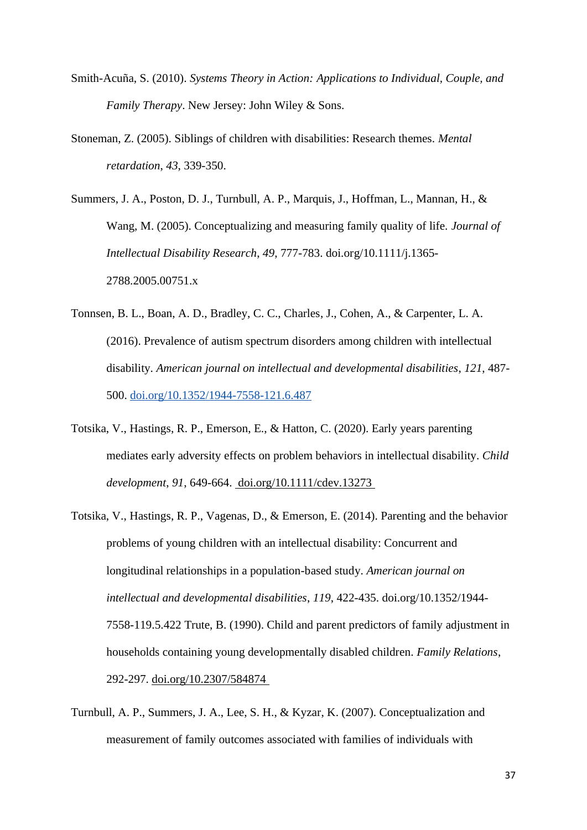- Smith-Acuña, S. (2010). *Systems Theory in Action: Applications to Individual, Couple, and Family Therapy*. New Jersey: John Wiley & Sons.
- Stoneman, Z. (2005). Siblings of children with disabilities: Research themes. *Mental retardation*, *43*, 339-350.
- Summers, J. A., Poston, D. J., Turnbull, A. P., Marquis, J., Hoffman, L., Mannan, H., & Wang, M. (2005). Conceptualizing and measuring family quality of life. *Journal of Intellectual Disability Research*, *49*, 777-783. doi.org/10.1111/j.1365- 2788.2005.00751.x
- Tonnsen, B. L., Boan, A. D., Bradley, C. C., Charles, J., Cohen, A., & Carpenter, L. A. (2016). Prevalence of autism spectrum disorders among children with intellectual disability. *American journal on intellectual and developmental disabilities*, *121*, 487- 500. [doi.org/10.1352/1944-7558-121.6.487](https://doi.org/10.1352/1944-7558-121.6.487)
- Totsika, V., Hastings, R. P., Emerson, E., & Hatton, C. (2020). Early years parenting mediates early adversity effects on problem behaviors in intellectual disability. *Child development*, *91*, 649-664. [doi.org/10.1111/cdev.13273](https://doi.org/10.1111/cdev.13273)
- Totsika, V., Hastings, R. P., Vagenas, D., & Emerson, E. (2014). Parenting and the behavior problems of young children with an intellectual disability: Concurrent and longitudinal relationships in a population-based study. *American journal on intellectual and developmental disabilities*, *119*, 422-435. doi.org/10.1352/1944- 7558-119.5.422 Trute, B. (1990). Child and parent predictors of family adjustment in households containing young developmentally disabled children. *Family Relations*, 292-297. [doi.org/10.2307/584874](https://doi.org/10.2307/584874)
- Turnbull, A. P., Summers, J. A., Lee, S. H., & Kyzar, K. (2007). Conceptualization and measurement of family outcomes associated with families of individuals with